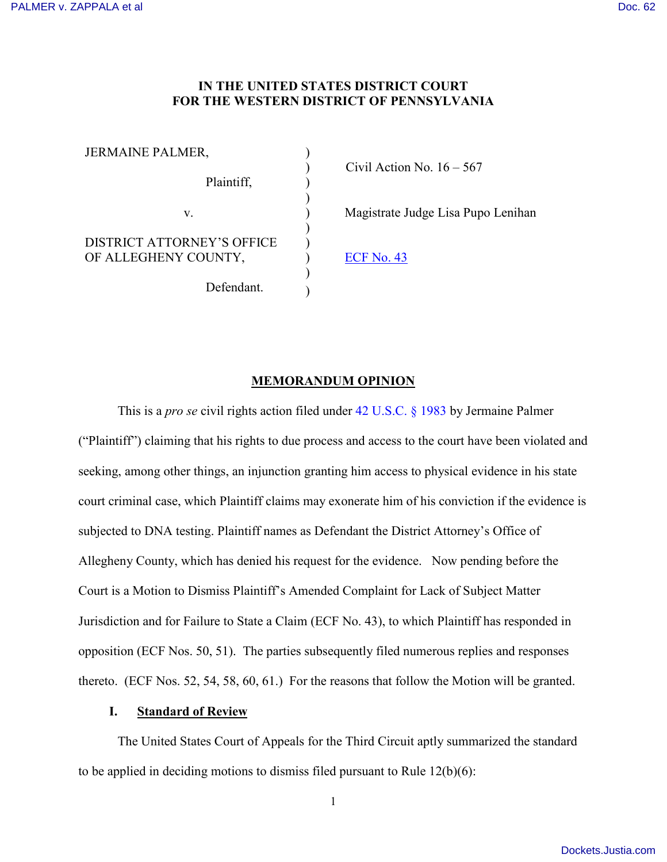## **IN THE UNITED STATES DISTRICT COURT FOR THE WESTERN DISTRICT OF PENNSYLVANIA**

)

) )

> ) )

) )

JERMAINE PALMER, Plaintiff, v. DISTRICT ATTORNEY'S OFFICE OF ALLEGHENY COUNTY, Defendant.

 $\text{Civil Action No. } 16 - 567$ 

) Magistrate Judge Lisa Pupo Lenihan

) [ECF No. 43](https://ecf.pawd.uscourts.gov/doc1/15715411840)

## **MEMORANDUM OPINION**

This is a *pro se* civil rights action filed under [42 U.S.C. § 1983](http://www.westlaw.com/Find/default.wl?rs=kmfn4.8&vr=2.0&kmvr=2.6&FindType=L&DB=1000546&DocName=42USCAS1983&kmsource=da3.0) by Jermaine Palmer ("Plaintiff") claiming that his rights to due process and access to the court have been violated and seeking, among other things, an injunction granting him access to physical evidence in his state court criminal case, which Plaintiff claims may exonerate him of his conviction if the evidence is subjected to DNA testing. Plaintiff names as Defendant the District Attorney's Office of Allegheny County, which has denied his request for the evidence. Now pending before the Court is a Motion to Dismiss Plaintiff's Amended Complaint for Lack of Subject Matter Jurisdiction and for Failure to State a Claim (ECF No. 43), to which Plaintiff has responded in opposition (ECF Nos. 50, 51). The parties subsequently filed numerous replies and responses thereto. (ECF Nos. 52, 54, 58, 60, 61.) For the reasons that follow the Motion will be granted.

## **I. Standard of Review**

The United States Court of Appeals for the Third Circuit aptly summarized the standard to be applied in deciding motions to dismiss filed pursuant to Rule 12(b)(6):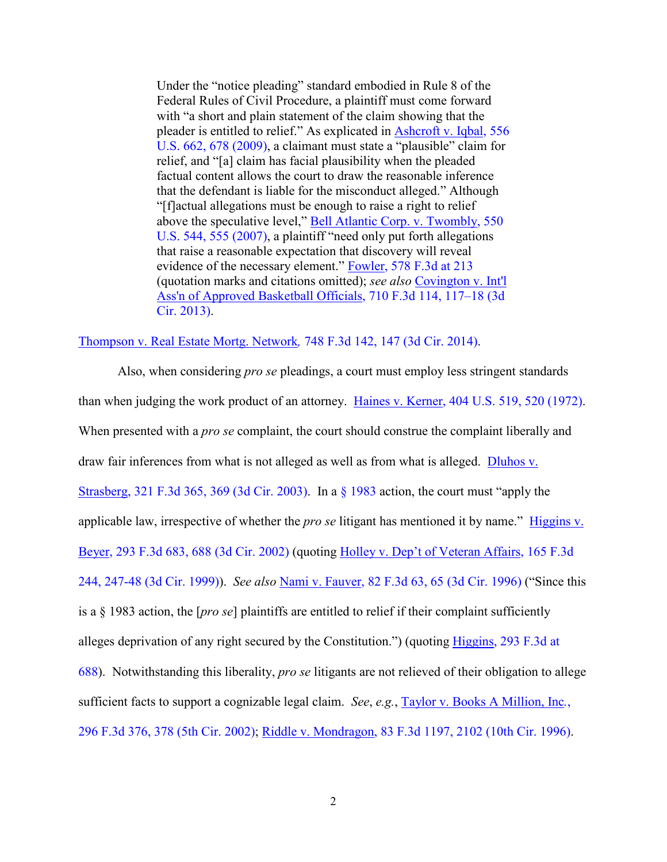Under the "notice pleading" standard embodied in Rule 8 of the Federal Rules of Civil Procedure, a plaintiff must come forward with "a short and plain statement of the claim showing that the pleader is entitled to relief." As explicated in [Ashcroft v. Iqbal, 556](http://www.westlaw.com/Find/default.wl?rs=kmfn4.8&vr=2.0&kmvr=2.6&FindType=Y&DB=0000780&serialnum=2018848474&kmsource=da3.0)  [U.S. 662, 678 \(2009\),](http://www.westlaw.com/Find/default.wl?rs=kmfn4.8&vr=2.0&kmvr=2.6&FindType=Y&DB=0000780&serialnum=2018848474&kmsource=da3.0) a claimant must state a "plausible" claim for relief, and "[a] claim has facial plausibility when the pleaded factual content allows the court to draw the reasonable inference that the defendant is liable for the misconduct alleged." Although "[f]actual allegations must be enough to raise a right to relief above the speculative level," [Bell Atlantic Corp. v. Twombly, 550](http://www.westlaw.com/Find/default.wl?rs=kmfn4.8&vr=2.0&kmvr=2.6&FindType=Y&DB=0000780&serialnum=2012293296&kmsource=da3.0)  [U.S. 544, 555 \(2007\),](http://www.westlaw.com/Find/default.wl?rs=kmfn4.8&vr=2.0&kmvr=2.6&FindType=Y&DB=0000780&serialnum=2012293296&kmsource=da3.0) a plaintiff "need only put forth allegations that raise a reasonable expectation that discovery will reveal evidence of the necessary element." [Fowler, 578 F.3d at 213](http://www.westlaw.com/Find/default.wl?rs=kmfn4.8&vr=2.0&kmvr=2.6&FindType=Y&DB=0000506&serialnum=2019623986&kmsource=da3.0) (quotation marks and citations omitted); *see also* [Covington v. Int'l](http://www.westlaw.com/Find/default.wl?rs=kmfn4.8&vr=2.0&kmvr=2.6&FindType=Y&DB=0000506&serialnum=2030133352&kmsource=da3.0)  [Ass'n of Approved Basketball Officials, 710 F.3d 114, 117–18 \(3d](http://www.westlaw.com/Find/default.wl?rs=kmfn4.8&vr=2.0&kmvr=2.6&FindType=Y&DB=0000506&serialnum=2030133352&kmsource=da3.0)  [Cir. 2013\).](http://www.westlaw.com/Find/default.wl?rs=kmfn4.8&vr=2.0&kmvr=2.6&FindType=Y&DB=0000506&serialnum=2030133352&kmsource=da3.0)

[Thompson v. Real Estate Mortg. Network](http://www.westlaw.com/Find/default.wl?rs=kmfn4.8&vr=2.0&kmvr=2.6&FindType=Y&DB=0000506&serialnum=2033082778&kmsource=da3.0)*,* 748 F.3d 142, 147 (3d Cir. 2014).

Also, when considering *pro se* pleadings, a court must employ less stringent standards than when judging the work product of an attorney. [Haines v. Kerner, 404 U.S. 519, 520 \(1972\).](http://www.westlaw.com/Find/default.wl?rs=kmfn4.8&vr=2.0&kmvr=2.6&FindType=Y&DB=0000780&serialnum=1972127052&kmsource=da3.0) When presented with a *pro se* complaint, the court should construe the complaint liberally and draw fair inferences from what is not alleged as well as from what is alleged. [Dluhos v.](http://www.westlaw.com/Find/default.wl?rs=kmfn4.8&vr=2.0&kmvr=2.6&FindType=Y&DB=0000506&serialnum=2003171029&kmsource=da3.0)  [Strasberg, 321 F.3d 365, 369 \(3d Cir. 2003\).](http://www.westlaw.com/Find/default.wl?rs=kmfn4.8&vr=2.0&kmvr=2.6&FindType=Y&DB=0000506&serialnum=2003171029&kmsource=da3.0) In a [§ 1983](http://www.westlaw.com/Find/default.wl?rs=kmfn4.8&vr=2.0&kmvr=2.6&FindType=L&DB=1000546&DocName=42USCAS1983&kmsource=da3.0) action, the court must "apply the applicable law, irrespective of whether the *pro se* litigant has mentioned it by name." [Higgins v.](http://www.westlaw.com/Find/default.wl?rs=kmfn4.8&vr=2.0&kmvr=2.6&FindType=Y&DB=0000506&serialnum=2002366169&kmsource=da3.0)  [Beyer, 293 F.3d 683, 688 \(3d Cir. 2002\)](http://www.westlaw.com/Find/default.wl?rs=kmfn4.8&vr=2.0&kmvr=2.6&FindType=Y&DB=0000506&serialnum=2002366169&kmsource=da3.0) (quoting [Holley v. Dep't of Veteran Affairs, 165 F.3d](http://www.westlaw.com/Find/default.wl?rs=kmfn4.8&vr=2.0&kmvr=2.6&FindType=Y&DB=0000506&serialnum=1999036283&kmsource=da3.0)  [244, 247-48 \(3d Cir. 1999\)\)](http://www.westlaw.com/Find/default.wl?rs=kmfn4.8&vr=2.0&kmvr=2.6&FindType=Y&DB=0000506&serialnum=1999036283&kmsource=da3.0). *See also* [Nami v. Fauver, 82 F.3d 63, 65 \(3d Cir. 1996\)](http://www.westlaw.com/Find/default.wl?rs=kmfn4.8&vr=2.0&kmvr=2.6&FindType=Y&DB=0000506&serialnum=1996102682&kmsource=da3.0) ("Since this is a § 1983 action, the [*pro se*] plaintiffs are entitled to relief if their complaint sufficiently alleges deprivation of any right secured by the Constitution.") (quoting [Higgins, 293 F.3d at](http://www.westlaw.com/Find/default.wl?rs=kmfn4.8&vr=2.0&kmvr=2.6&FindType=Y&DB=0000506&serialnum=2002366169&kmsource=da3.0)  [688\)](http://www.westlaw.com/Find/default.wl?rs=kmfn4.8&vr=2.0&kmvr=2.6&FindType=Y&DB=0000506&serialnum=2002366169&kmsource=da3.0). Notwithstanding this liberality, *pro se* litigants are not relieved of their obligation to allege sufficient facts to support a cognizable legal claim. *See*, *e.g.*, [Taylor v. Books A Million, Inc](http://www.westlaw.com/Find/default.wl?rs=kmfn4.8&vr=2.0&kmvr=2.6&FindType=Y&DB=0000506&serialnum=2002399132&kmsource=da3.0)*.*, [296 F.3d 376, 378 \(5th Cir. 2002\);](http://www.westlaw.com/Find/default.wl?rs=kmfn4.8&vr=2.0&kmvr=2.6&FindType=Y&DB=0000506&serialnum=2002399132&kmsource=da3.0) [Riddle v. Mondragon, 83 F.3d 1197, 2102 \(10th Cir. 1996\).](http://www.westlaw.com/Find/default.wl?rs=kmfn4.8&vr=2.0&kmvr=2.6&FindType=Y&DB=0000506&serialnum=1996104515&kmsource=da3.0)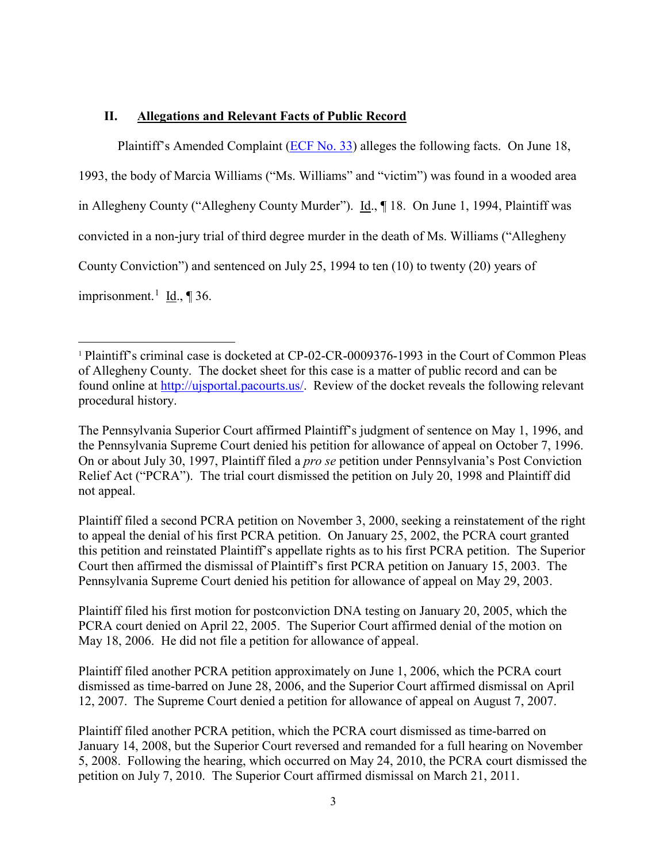# **II. Allegations and Relevant Facts of Public Record**

l

Plaintiff's Amended Complaint [\(ECF No. 33\)](https://ecf.pawd.uscourts.gov/doc1/15715346873) alleges the following facts. On June 18,

1993, the body of Marcia Williams ("Ms. Williams" and "victim") was found in a wooded area in Allegheny County ("Allegheny County Murder"). Id., ¶ 18. On June 1, 1994, Plaintiff was convicted in a non-jury trial of third degree murder in the death of Ms. Williams ("Allegheny County Conviction") and sentenced on July 25, 1994 to ten (10) to twenty (20) years of imprisonment.<sup>[1](#page-2-0)</sup> Id., ¶ 36.

Plaintiff filed a second PCRA petition on November 3, 2000, seeking a reinstatement of the right to appeal the denial of his first PCRA petition. On January 25, 2002, the PCRA court granted this petition and reinstated Plaintiff's appellate rights as to his first PCRA petition. The Superior Court then affirmed the dismissal of Plaintiff's first PCRA petition on January 15, 2003. The Pennsylvania Supreme Court denied his petition for allowance of appeal on May 29, 2003.

Plaintiff filed another PCRA petition approximately on June 1, 2006, which the PCRA court dismissed as time-barred on June 28, 2006, and the Superior Court affirmed dismissal on April 12, 2007. The Supreme Court denied a petition for allowance of appeal on August 7, 2007.

<span id="page-2-0"></span><sup>1</sup> Plaintiff's criminal case is docketed at CP-02-CR-0009376-1993 in the Court of Common Pleas of Allegheny County. The docket sheet for this case is a matter of public record and can be found online at [http://ujsportal.pacourts.us/.](http://ujsportal.pacourts.us/) Review of the docket reveals the following relevant procedural history.

The Pennsylvania Superior Court affirmed Plaintiff's judgment of sentence on May 1, 1996, and the Pennsylvania Supreme Court denied his petition for allowance of appeal on October 7, 1996. On or about July 30, 1997, Plaintiff filed a *pro se* petition under Pennsylvania's Post Conviction Relief Act ("PCRA"). The trial court dismissed the petition on July 20, 1998 and Plaintiff did not appeal.

Plaintiff filed his first motion for postconviction DNA testing on January 20, 2005, which the PCRA court denied on April 22, 2005. The Superior Court affirmed denial of the motion on May 18, 2006. He did not file a petition for allowance of appeal.

Plaintiff filed another PCRA petition, which the PCRA court dismissed as time-barred on January 14, 2008, but the Superior Court reversed and remanded for a full hearing on November 5, 2008. Following the hearing, which occurred on May 24, 2010, the PCRA court dismissed the petition on July 7, 2010. The Superior Court affirmed dismissal on March 21, 2011.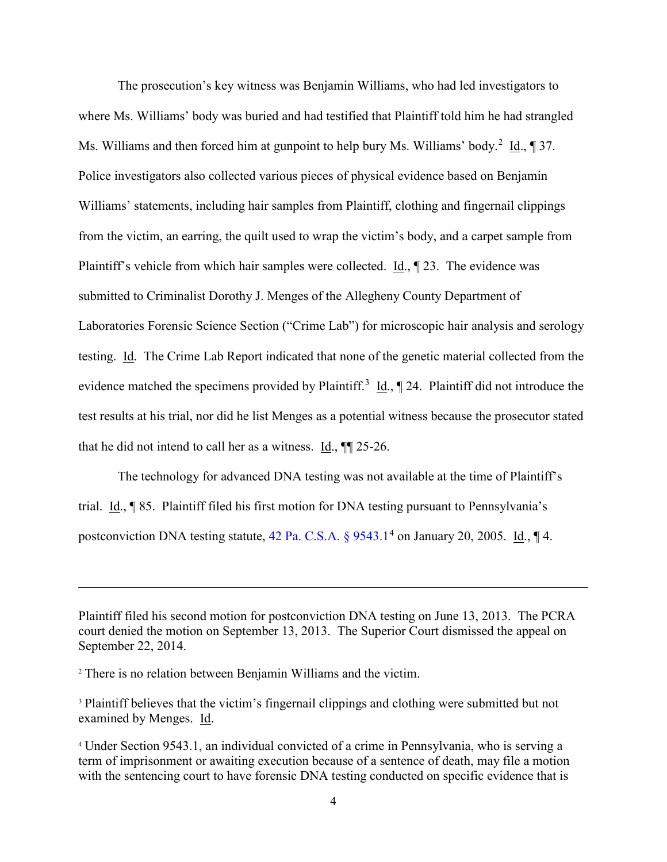The prosecution's key witness was Benjamin Williams, who had led investigators to where Ms. Williams' body was buried and had testified that Plaintiff told him he had strangled Ms. Williams and then forced him at gunpoint to help bury Ms. Williams' body.<sup>[2](#page-3-0)</sup> Id.,  $\sqrt{ }37$ . Police investigators also collected various pieces of physical evidence based on Benjamin Williams' statements, including hair samples from Plaintiff, clothing and fingernail clippings from the victim, an earring, the quilt used to wrap the victim's body, and a carpet sample from Plaintiff's vehicle from which hair samples were collected. Id., ¶ 23. The evidence was submitted to Criminalist Dorothy J. Menges of the Allegheny County Department of Laboratories Forensic Science Section ("Crime Lab") for microscopic hair analysis and serology testing. Id. The Crime Lab Report indicated that none of the genetic material collected from the evidence matched the specimens provided by Plaintiff.<sup>[3](#page-3-1)</sup>  $\underline{Id}$ .,  $\P$  24. Plaintiff did not introduce the test results at his trial, nor did he list Menges as a potential witness because the prosecutor stated that he did not intend to call her as a witness. Id.,  $\P$  25-26.

The technology for advanced DNA testing was not available at the time of Plaintiff's trial. Id., ¶ 85. Plaintiff filed his first motion for DNA testing pursuant to Pennsylvania's postconviction DNA testing statute,  $42$  $42$  Pa. C.S.A.  $\S 9543.1<sup>4</sup>$  on January 20, 2005. Id.,  $\P 4$ .

l

Plaintiff filed his second motion for postconviction DNA testing on June 13, 2013. The PCRA court denied the motion on September 13, 2013. The Superior Court dismissed the appeal on September 22, 2014.

<span id="page-3-0"></span><sup>2</sup> There is no relation between Benjamin Williams and the victim.

<span id="page-3-1"></span><sup>&</sup>lt;sup>3</sup> Plaintiff believes that the victim's fingernail clippings and clothing were submitted but not examined by Menges. Id.

<span id="page-3-2"></span><sup>4</sup> Under Section 9543.1, an individual convicted of a crime in Pennsylvania, who is serving a term of imprisonment or awaiting execution because of a sentence of death, may file a motion with the sentencing court to have forensic DNA testing conducted on specific evidence that is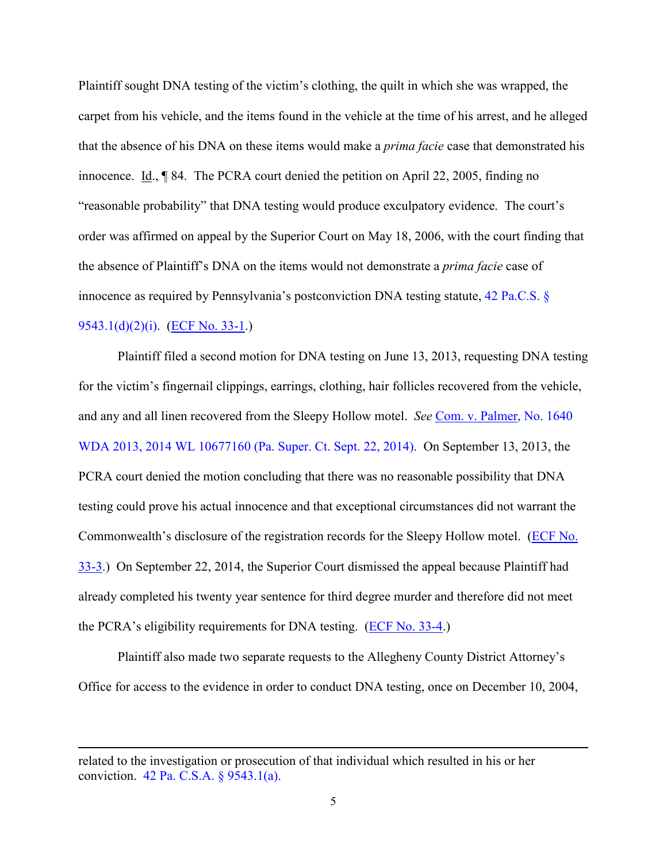Plaintiff sought DNA testing of the victim's clothing, the quilt in which she was wrapped, the carpet from his vehicle, and the items found in the vehicle at the time of his arrest, and he alleged that the absence of his DNA on these items would make a *prima facie* case that demonstrated his innocence. Id., ¶ 84. The PCRA court denied the petition on April 22, 2005, finding no "reasonable probability" that DNA testing would produce exculpatory evidence. The court's order was affirmed on appeal by the Superior Court on May 18, 2006, with the court finding that the absence of Plaintiff's DNA on the items would not demonstrate a *prima facie* case of innocence as required by Pennsylvania's postconviction DNA testing statute, [42 Pa.C.S. §](http://www.westlaw.com/Find/default.wl?rs=kmfn4.8&vr=2.0&kmvr=2.6&FindType=L&DB=1000262&DocName=PA42S9543.1&kmsource=da3.0)  [9543.1\(d\)\(2\)\(i\).](http://www.westlaw.com/Find/default.wl?rs=kmfn4.8&vr=2.0&kmvr=2.6&FindType=L&DB=1000262&DocName=PA42S9543.1&kmsource=da3.0) [\(ECF No. 33-1.](https://ecf.pawd.uscourts.gov/doc1/15715346874))

Plaintiff filed a second motion for DNA testing on June 13, 2013, requesting DNA testing for the victim's fingernail clippings, earrings, clothing, hair follicles recovered from the vehicle, and any and all linen recovered from the Sleepy Hollow motel. *See* [Com. v. Palmer, No. 1640](http://www.westlaw.com/Find/default.wl?rs=kmfn4.8&vr=2.0&kmvr=2.6&FindType=Y&DB=0000999&serialnum=2037565773&kmsource=da3.0)  [WDA 2013, 2014 WL 10677160 \(Pa. Super. Ct. Sept. 22, 2014\).](http://www.westlaw.com/Find/default.wl?rs=kmfn4.8&vr=2.0&kmvr=2.6&FindType=Y&DB=0000999&serialnum=2037565773&kmsource=da3.0) On September 13, 2013, the PCRA court denied the motion concluding that there was no reasonable possibility that DNA testing could prove his actual innocence and that exceptional circumstances did not warrant the Commonwealth's disclosure of the registration records for the Sleepy Hollow motel. [\(ECF No.](https://ecf.pawd.uscourts.gov/doc1/15715346876)  [33-3.](https://ecf.pawd.uscourts.gov/doc1/15715346876)) On September 22, 2014, the Superior Court dismissed the appeal because Plaintiff had already completed his twenty year sentence for third degree murder and therefore did not meet the PCRA's eligibility requirements for DNA testing. [\(ECF No. 33-4.](https://ecf.pawd.uscourts.gov/doc1/15715346877))

Plaintiff also made two separate requests to the Allegheny County District Attorney's Office for access to the evidence in order to conduct DNA testing, once on December 10, 2004,

related to the investigation or prosecution of that individual which resulted in his or her conviction. [42 Pa. C.S.A. § 9543.1\(a\).](http://www.westlaw.com/Find/default.wl?rs=kmfn4.8&vr=2.0&kmvr=2.6&FindType=L&DB=1000262&DocName=PA42S9543.1&kmsource=da3.0)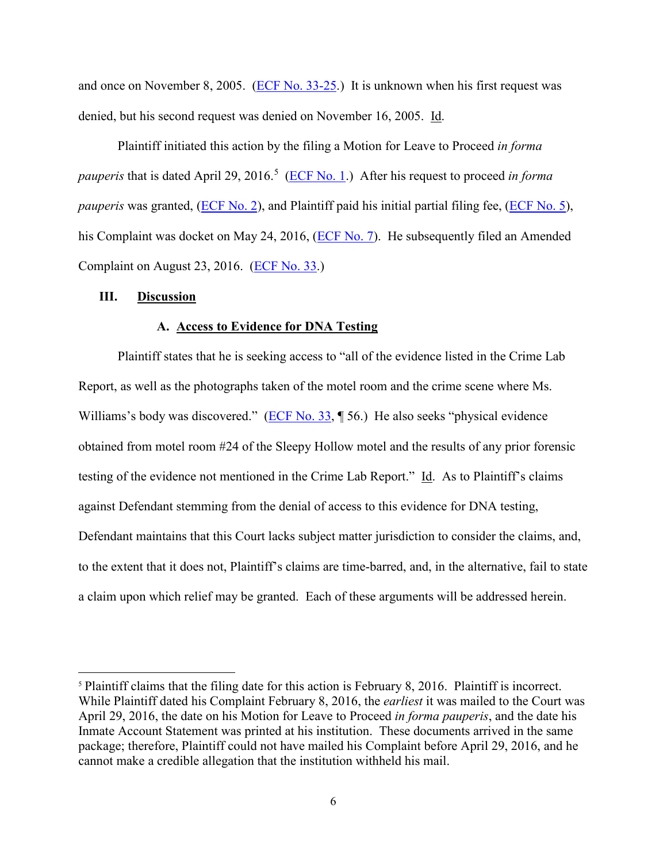and once on November 8, 2005. [\(ECF No. 33-25.](https://ecf.pawd.uscourts.gov/doc1/15715346898)) It is unknown when his first request was denied, but his second request was denied on November 16, 2005. Id.

Plaintiff initiated this action by the filing a Motion for Leave to Proceed *in forma*  pauperis that is dated April 29, 2016.<sup>[5](#page-5-0)</sup> [\(ECF No. 1.](https://ecf.pawd.uscourts.gov/doc1/15715205061)) After his request to proceed *in forma pauperis* was granted, [\(ECF No. 2\)](https://ecf.pawd.uscourts.gov/doc1/15715208087), and Plaintiff paid his initial partial filing fee, [\(ECF No. 5\)](https://ecf.pawd.uscourts.gov/doc1/15715227943), his Complaint was docket on May 24, 2016, [\(ECF No. 7\)](https://ecf.pawd.uscourts.gov/doc1/15715229329). He subsequently filed an Amended Complaint on August 23, 2016. [\(ECF No. 33.](https://ecf.pawd.uscourts.gov/doc1/15715346873))

## **III. Discussion**

 $\overline{a}$ 

#### **A. Access to Evidence for DNA Testing**

Plaintiff states that he is seeking access to "all of the evidence listed in the Crime Lab Report, as well as the photographs taken of the motel room and the crime scene where Ms. Williams's body was discovered." [\(ECF No. 33,](https://ecf.pawd.uscourts.gov/doc1/15715346873) ¶ 56.) He also seeks "physical evidence obtained from motel room #24 of the Sleepy Hollow motel and the results of any prior forensic testing of the evidence not mentioned in the Crime Lab Report." Id. As to Plaintiff's claims against Defendant stemming from the denial of access to this evidence for DNA testing, Defendant maintains that this Court lacks subject matter jurisdiction to consider the claims, and, to the extent that it does not, Plaintiff's claims are time-barred, and, in the alternative, fail to state a claim upon which relief may be granted. Each of these arguments will be addressed herein.

<span id="page-5-0"></span><sup>&</sup>lt;sup>5</sup> Plaintiff claims that the filing date for this action is February 8, 2016. Plaintiff is incorrect. While Plaintiff dated his Complaint February 8, 2016, the *earliest* it was mailed to the Court was April 29, 2016, the date on his Motion for Leave to Proceed *in forma pauperis*, and the date his Inmate Account Statement was printed at his institution. These documents arrived in the same package; therefore, Plaintiff could not have mailed his Complaint before April 29, 2016, and he cannot make a credible allegation that the institution withheld his mail.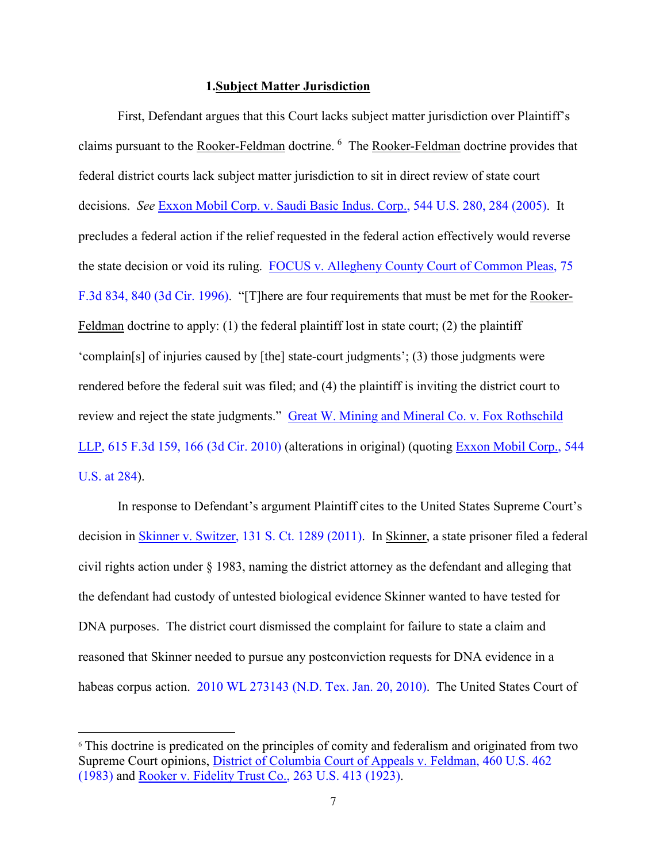#### **1.Subject Matter Jurisdiction**

First, Defendant argues that this Court lacks subject matter jurisdiction over Plaintiff's claims pursuant to the Rooker-Feldman doctrine. <sup>[6](#page-6-0)</sup> The Rooker-Feldman doctrine provides that federal district courts lack subject matter jurisdiction to sit in direct review of state court decisions. *See* [Exxon Mobil Corp. v. Saudi Basic Indus. Corp., 544 U.S. 280, 284 \(2005\).](http://www.westlaw.com/Find/default.wl?rs=kmfn4.8&vr=2.0&kmvr=2.6&FindType=Y&DB=0000780&serialnum=2006397495&kmsource=da3.0) It precludes a federal action if the relief requested in the federal action effectively would reverse the state decision or void its ruling. [FOCUS v. Allegheny County Court of Common Pleas, 75](http://www.westlaw.com/Find/default.wl?rs=kmfn4.8&vr=2.0&kmvr=2.6&FindType=Y&DB=0000506&serialnum=1996042489&kmsource=da3.0)  [F.3d 834, 840 \(3d Cir. 1996\).](http://www.westlaw.com/Find/default.wl?rs=kmfn4.8&vr=2.0&kmvr=2.6&FindType=Y&DB=0000506&serialnum=1996042489&kmsource=da3.0) "[T]here are four requirements that must be met for the Rooker-Feldman doctrine to apply: (1) the federal plaintiff lost in state court; (2) the plaintiff 'complain[s] of injuries caused by [the] state-court judgments'; (3) those judgments were rendered before the federal suit was filed; and (4) the plaintiff is inviting the district court to review and reject the state judgments." [Great W. Mining and Mineral Co. v. Fox Rothschild](http://www.westlaw.com/Find/default.wl?rs=kmfn4.8&vr=2.0&kmvr=2.6&FindType=Y&DB=0000506&serialnum=2022691287&kmsource=da3.0)  [LLP, 615 F.3d 159, 166 \(3d Cir. 2010\)](http://www.westlaw.com/Find/default.wl?rs=kmfn4.8&vr=2.0&kmvr=2.6&FindType=Y&DB=0000506&serialnum=2022691287&kmsource=da3.0) (alterations in original) (quoting [Exxon Mobil Corp., 544](http://www.westlaw.com/Find/default.wl?rs=kmfn4.8&vr=2.0&kmvr=2.6&FindType=Y&DB=0000780&serialnum=2006397495&kmsource=da3.0)  [U.S. at 284\)](http://www.westlaw.com/Find/default.wl?rs=kmfn4.8&vr=2.0&kmvr=2.6&FindType=Y&DB=0000780&serialnum=2006397495&kmsource=da3.0).

In response to Defendant's argument Plaintiff cites to the United States Supreme Court's decision in [Skinner v. Switzer, 131 S. Ct. 1289 \(2011\).](http://www.westlaw.com/Find/default.wl?rs=kmfn4.8&vr=2.0&kmvr=2.6&FindType=Y&DB=0000708&serialnum=2024730626&kmsource=da3.0) In Skinner, a state prisoner filed a federal civil rights action under § 1983, naming the district attorney as the defendant and alleging that the defendant had custody of untested biological evidence Skinner wanted to have tested for DNA purposes. The district court dismissed the complaint for failure to state a claim and reasoned that Skinner needed to pursue any postconviction requests for DNA evidence in a habeas corpus action. [2010 WL 273143 \(N.D. Tex. Jan. 20, 2010\).](http://www.westlaw.com/Find/default.wl?rs=kmfn4.8&vr=2.0&kmvr=2.6&FindType=Y&DB=0000999&serialnum=2021208944&kmsource=da3.0) The United States Court of

<span id="page-6-0"></span><sup>6</sup> This doctrine is predicated on the principles of comity and federalism and originated from two Supreme Court opinions, [District of Columbia Court of Appeals v. Feldman, 460 U.S. 462](http://www.westlaw.com/Find/default.wl?rs=kmfn4.8&vr=2.0&kmvr=2.6&FindType=Y&DB=0000780&serialnum=1983113925&kmsource=da3.0)  [\(1983\)](http://www.westlaw.com/Find/default.wl?rs=kmfn4.8&vr=2.0&kmvr=2.6&FindType=Y&DB=0000780&serialnum=1983113925&kmsource=da3.0) and [Rooker v. Fidelity Trust Co., 263 U.S. 413 \(1923\).](http://www.westlaw.com/Find/default.wl?rs=kmfn4.8&vr=2.0&kmvr=2.6&FindType=Y&DB=0000780&serialnum=1923120656&kmsource=da3.0)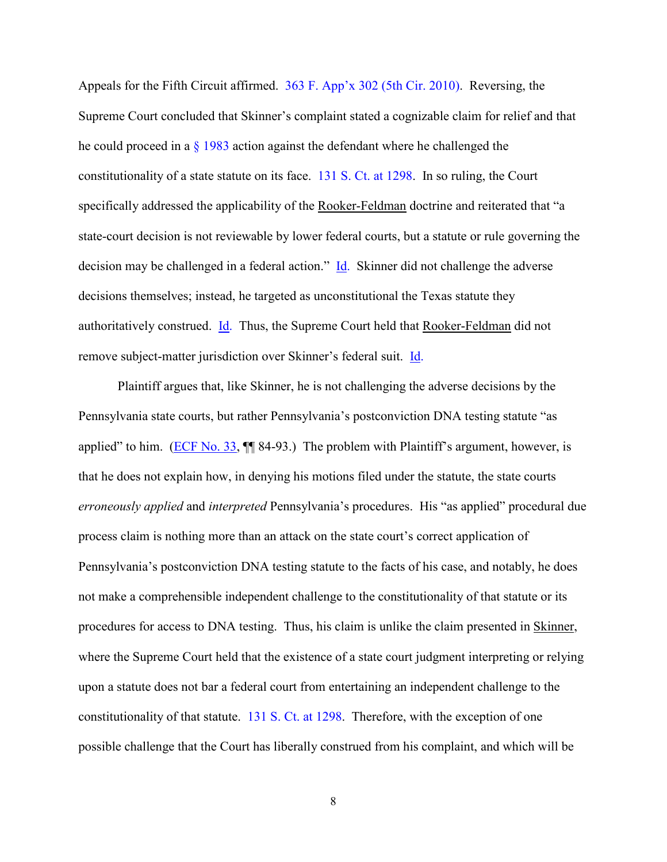Appeals for the Fifth Circuit affirmed. [363 F. App'x 302 \(5th Cir. 2010\).](http://www.westlaw.com/Find/default.wl?rs=kmfn4.8&vr=2.0&kmvr=2.6&FindType=Y&DB=0006538&serialnum=2021254535&kmsource=da3.0) Reversing, the Supreme Court concluded that Skinner's complaint stated a cognizable claim for relief and that he could proceed in a  $\S$  1983 action against the defendant where he challenged the constitutionality of a state statute on its face. [131 S. Ct. at 1298.](http://www.westlaw.com/Find/default.wl?rs=kmfn4.8&vr=2.0&kmvr=2.6&FindType=Y&DB=0000708&serialnum=2024730626&kmsource=da3.0) In so ruling, the Court specifically addressed the applicability of the Rooker-Feldman doctrine and reiterated that "a state-court decision is not reviewable by lower federal courts, but a statute or rule governing the decision may be challenged in a federal action." [Id.](http://www.westlaw.com/Find/default.wl?rs=kmfn4.8&vr=2.0&kmvr=2.6&FindType=Y&DB=0000708&serialnum=2024730626&kmsource=da3.0) Skinner did not challenge the adverse decisions themselves; instead, he targeted as unconstitutional the Texas statute they authoritatively construed. [Id.](http://www.westlaw.com/Find/default.wl?rs=kmfn4.8&vr=2.0&kmvr=2.6&FindType=Y&DB=0000708&serialnum=2024730626&kmsource=da3.0) Thus, the Supreme Court held that Rooker-Feldman did not remove subject-matter jurisdiction over Skinner's federal suit. [Id.](http://www.westlaw.com/Find/default.wl?rs=kmfn4.8&vr=2.0&kmvr=2.6&FindType=Y&DB=0000708&serialnum=2024730626&kmsource=da3.0)

Plaintiff argues that, like Skinner, he is not challenging the adverse decisions by the Pennsylvania state courts, but rather Pennsylvania's postconviction DNA testing statute "as applied" to him. [\(ECF No. 33,](https://ecf.pawd.uscourts.gov/doc1/15715346873)  $\P$  84-93.) The problem with Plaintiff's argument, however, is that he does not explain how, in denying his motions filed under the statute, the state courts *erroneously applied* and *interpreted* Pennsylvania's procedures. His "as applied" procedural due process claim is nothing more than an attack on the state court's correct application of Pennsylvania's postconviction DNA testing statute to the facts of his case, and notably, he does not make a comprehensible independent challenge to the constitutionality of that statute or its procedures for access to DNA testing. Thus, his claim is unlike the claim presented in Skinner, where the Supreme Court held that the existence of a state court judgment interpreting or relying upon a statute does not bar a federal court from entertaining an independent challenge to the constitutionality of that statute. [131 S. Ct. at 1298.](http://www.westlaw.com/Find/default.wl?rs=kmfn4.8&vr=2.0&kmvr=2.6&FindType=Y&DB=0000708&serialnum=2024730626&kmsource=da3.0) Therefore, with the exception of one possible challenge that the Court has liberally construed from his complaint, and which will be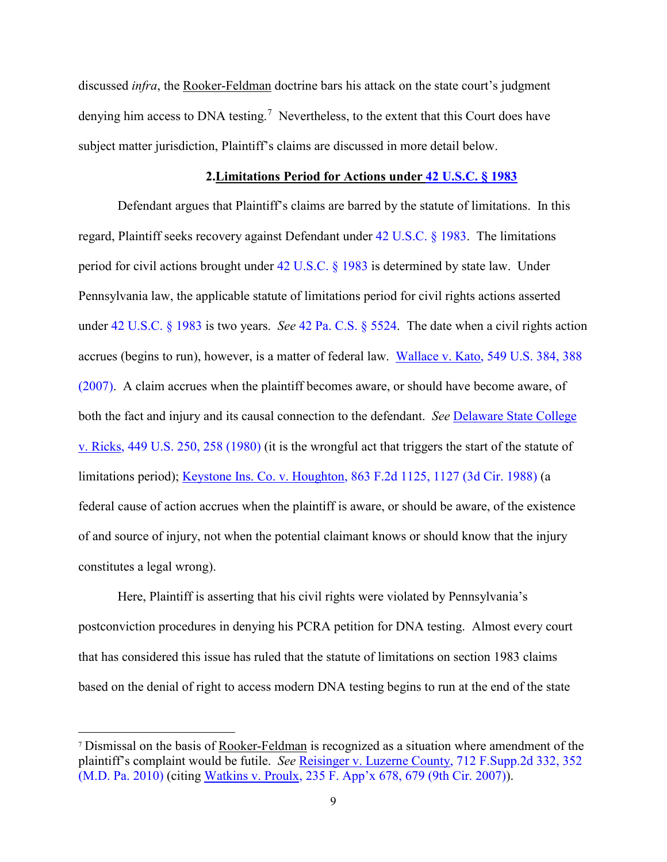discussed *infra*, the Rooker-Feldman doctrine bars his attack on the state court's judgment denying him access to DNA testing.<sup>[7](#page-8-0)</sup> Nevertheless, to the extent that this Court does have subject matter jurisdiction, Plaintiff's claims are discussed in more detail below.

#### **2.Limitations Period for Actions under [42 U.S.C. § 1983](http://www.westlaw.com/Find/default.wl?rs=kmfn4.8&vr=2.0&kmvr=2.6&FindType=L&DB=1000546&DocName=42USCAS1983&kmsource=da3.0)**

Defendant argues that Plaintiff's claims are barred by the statute of limitations. In this regard, Plaintiff seeks recovery against Defendant under [42 U.S.C. § 1983.](http://www.westlaw.com/Find/default.wl?rs=kmfn4.8&vr=2.0&kmvr=2.6&FindType=L&DB=1000546&DocName=42USCAS1983&kmsource=da3.0) The limitations period for civil actions brought under [42 U.S.C. § 1983](http://www.westlaw.com/Find/default.wl?rs=kmfn4.8&vr=2.0&kmvr=2.6&FindType=L&DB=1000546&DocName=42USCAS1983&kmsource=da3.0) is determined by state law. Under Pennsylvania law, the applicable statute of limitations period for civil rights actions asserted under [42 U.S.C. § 1983](http://www.westlaw.com/Find/default.wl?rs=kmfn4.8&vr=2.0&kmvr=2.6&FindType=L&DB=1000546&DocName=42USCAS1983&kmsource=da3.0) is two years. *See* [42 Pa. C.S. § 5524.](http://www.westlaw.com/Find/default.wl?rs=kmfn4.8&vr=2.0&kmvr=2.6&FindType=L&DB=1000262&DocName=PA42S5524&kmsource=da3.0) The date when a civil rights action accrues (begins to run), however, is a matter of federal law. [Wallace v. Kato, 549 U.S. 384, 388](http://www.westlaw.com/Find/default.wl?rs=kmfn4.8&vr=2.0&kmvr=2.6&FindType=Y&DB=0000780&serialnum=2011495384&kmsource=da3.0)  [\(2007\).](http://www.westlaw.com/Find/default.wl?rs=kmfn4.8&vr=2.0&kmvr=2.6&FindType=Y&DB=0000780&serialnum=2011495384&kmsource=da3.0) A claim accrues when the plaintiff becomes aware, or should have become aware, of both the fact and injury and its causal connection to the defendant. *See* [Delaware State College](http://www.westlaw.com/Find/default.wl?rs=kmfn4.8&vr=2.0&kmvr=2.6&FindType=Y&DB=0000780&serialnum=1980150635&kmsource=da3.0)  [v. Ricks, 449 U.S. 250, 258 \(1980\)](http://www.westlaw.com/Find/default.wl?rs=kmfn4.8&vr=2.0&kmvr=2.6&FindType=Y&DB=0000780&serialnum=1980150635&kmsource=da3.0) (it is the wrongful act that triggers the start of the statute of limitations period); [Keystone Ins. Co. v. Houghton, 863 F.2d 1125, 1127 \(3d Cir. 1988\)](http://www.westlaw.com/Find/default.wl?rs=kmfn4.8&vr=2.0&kmvr=2.6&FindType=Y&DB=0000350&serialnum=1988160399&kmsource=da3.0) (a federal cause of action accrues when the plaintiff is aware, or should be aware, of the existence of and source of injury, not when the potential claimant knows or should know that the injury constitutes a legal wrong).

Here, Plaintiff is asserting that his civil rights were violated by Pennsylvania's postconviction procedures in denying his PCRA petition for DNA testing. Almost every court that has considered this issue has ruled that the statute of limitations on section 1983 claims based on the denial of right to access modern DNA testing begins to run at the end of the state

<span id="page-8-0"></span><sup>7</sup> Dismissal on the basis of Rooker-Feldman is recognized as a situation where amendment of the plaintiff's complaint would be futile. *See* [Reisinger v. Luzerne County, 712 F.Supp.2d 332, 352](http://www.westlaw.com/Find/default.wl?rs=kmfn4.8&vr=2.0&kmvr=2.6&FindType=Y&DB=0004637&serialnum=2022072838&kmsource=da3.0)  [\(M.D. Pa. 2010\)](http://www.westlaw.com/Find/default.wl?rs=kmfn4.8&vr=2.0&kmvr=2.6&FindType=Y&DB=0004637&serialnum=2022072838&kmsource=da3.0) (citing [Watkins v. Proulx, 235 F. App'x 678, 679 \(9th Cir. 2007\)\)](http://www.westlaw.com/Find/default.wl?rs=kmfn4.8&vr=2.0&kmvr=2.6&FindType=Y&DB=0006538&serialnum=2013106902&kmsource=da3.0).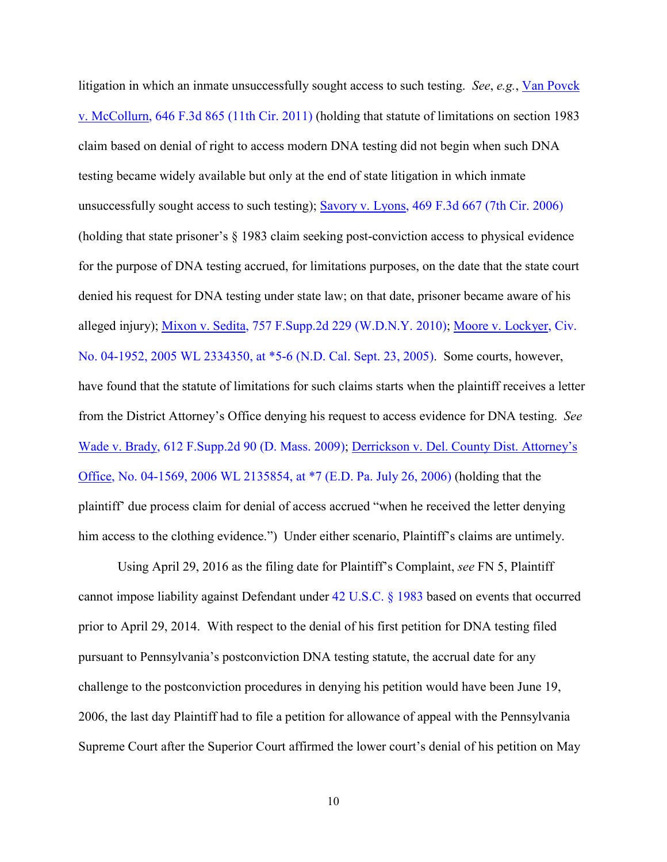litigation in which an inmate unsuccessfully sought access to such testing. *See*, *e.g.*, [Van Povck](http://www.westlaw.com/Find/default.wl?rs=kmfn4.8&vr=2.0&kmvr=2.6&FindType=Y&DB=0000506&serialnum=2025665839&kmsource=da3.0)  [v. McCollurn, 646 F.3d 865 \(11th Cir. 2011\)](http://www.westlaw.com/Find/default.wl?rs=kmfn4.8&vr=2.0&kmvr=2.6&FindType=Y&DB=0000506&serialnum=2025665839&kmsource=da3.0) (holding that statute of limitations on section 1983 claim based on denial of right to access modern DNA testing did not begin when such DNA testing became widely available but only at the end of state litigation in which inmate unsuccessfully sought access to such testing); [Savory v. Lyons, 469 F.3d 667 \(7th Cir. 2006\)](http://www.westlaw.com/Find/default.wl?rs=kmfn4.8&vr=2.0&kmvr=2.6&FindType=Y&DB=0000506&serialnum=2010740381&kmsource=da3.0) (holding that state prisoner's § 1983 claim seeking post-conviction access to physical evidence for the purpose of DNA testing accrued, for limitations purposes, on the date that the state court denied his request for DNA testing under state law; on that date, prisoner became aware of his alleged injury); [Mixon v. Sedita, 757 F.Supp.2d 229 \(W.D.N.Y. 2010\);](http://www.westlaw.com/Find/default.wl?rs=kmfn4.8&vr=2.0&kmvr=2.6&FindType=Y&DB=0004637&serialnum=2023834617&kmsource=da3.0) [Moore v. Lockyer, Civ.](http://www.westlaw.com/Find/default.wl?rs=kmfn4.8&vr=2.0&kmvr=2.6&FindType=Y&DB=0000999&serialnum=2007363459&kmsource=da3.0)  [No. 04-1952, 2005 WL 2334350, at \\*5-6 \(N.D. Cal. Sept. 23, 2005\).](http://www.westlaw.com/Find/default.wl?rs=kmfn4.8&vr=2.0&kmvr=2.6&FindType=Y&DB=0000999&serialnum=2007363459&kmsource=da3.0) Some courts, however, have found that the statute of limitations for such claims starts when the plaintiff receives a letter from the District Attorney's Office denying his request to access evidence for DNA testing. *See* [Wade v. Brady, 612 F.Supp.2d 90 \(D. Mass. 2009\);](http://www.westlaw.com/Find/default.wl?rs=kmfn4.8&vr=2.0&kmvr=2.6&FindType=Y&DB=0004637&serialnum=2018760435&kmsource=da3.0) [Derrickson v. Del. County Dist. Attorney's](http://www.westlaw.com/Find/default.wl?rs=kmfn4.8&vr=2.0&kmvr=2.6&FindType=Y&DB=0000999&serialnum=2009645084&kmsource=da3.0)  [Office, No. 04-1569, 2006 WL 2135854, at \\*7 \(E.D. Pa. July 26, 2006\)](http://www.westlaw.com/Find/default.wl?rs=kmfn4.8&vr=2.0&kmvr=2.6&FindType=Y&DB=0000999&serialnum=2009645084&kmsource=da3.0) (holding that the plaintiff' due process claim for denial of access accrued "when he received the letter denying him access to the clothing evidence.") Under either scenario, Plaintiff's claims are untimely.

 Using April 29, 2016 as the filing date for Plaintiff's Complaint, *see* FN 5, Plaintiff cannot impose liability against Defendant under [42 U.S.C. § 1983](http://www.westlaw.com/Find/default.wl?rs=kmfn4.8&vr=2.0&kmvr=2.6&FindType=L&DB=1000546&DocName=42USCAS1983&kmsource=da3.0) based on events that occurred prior to April 29, 2014. With respect to the denial of his first petition for DNA testing filed pursuant to Pennsylvania's postconviction DNA testing statute, the accrual date for any challenge to the postconviction procedures in denying his petition would have been June 19, 2006, the last day Plaintiff had to file a petition for allowance of appeal with the Pennsylvania Supreme Court after the Superior Court affirmed the lower court's denial of his petition on May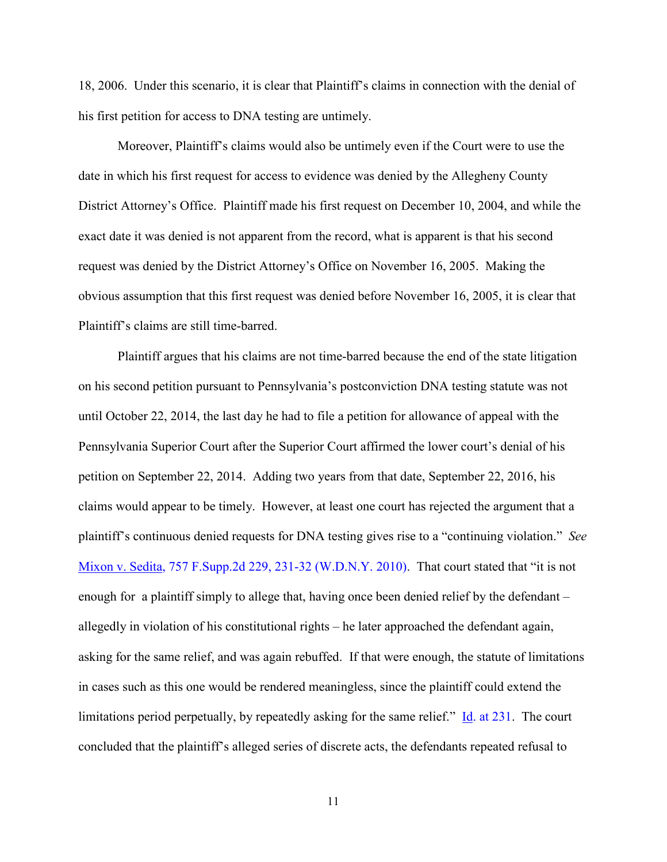18, 2006. Under this scenario, it is clear that Plaintiff's claims in connection with the denial of his first petition for access to DNA testing are untimely.

Moreover, Plaintiff's claims would also be untimely even if the Court were to use the date in which his first request for access to evidence was denied by the Allegheny County District Attorney's Office. Plaintiff made his first request on December 10, 2004, and while the exact date it was denied is not apparent from the record, what is apparent is that his second request was denied by the District Attorney's Office on November 16, 2005. Making the obvious assumption that this first request was denied before November 16, 2005, it is clear that Plaintiff's claims are still time-barred.

Plaintiff argues that his claims are not time-barred because the end of the state litigation on his second petition pursuant to Pennsylvania's postconviction DNA testing statute was not until October 22, 2014, the last day he had to file a petition for allowance of appeal with the Pennsylvania Superior Court after the Superior Court affirmed the lower court's denial of his petition on September 22, 2014. Adding two years from that date, September 22, 2016, his claims would appear to be timely. However, at least one court has rejected the argument that a plaintiff's continuous denied requests for DNA testing gives rise to a "continuing violation." *See* [Mixon v. Sedita, 757 F.Supp.2d 229, 231-32 \(W.D.N.Y. 2010\).](http://www.westlaw.com/Find/default.wl?rs=kmfn4.8&vr=2.0&kmvr=2.6&FindType=Y&DB=0004637&serialnum=2023834617&kmsource=da3.0) That court stated that "it is not enough for a plaintiff simply to allege that, having once been denied relief by the defendant – allegedly in violation of his constitutional rights – he later approached the defendant again, asking for the same relief, and was again rebuffed. If that were enough, the statute of limitations in cases such as this one would be rendered meaningless, since the plaintiff could extend the limitations period perpetually, by repeatedly asking for the same relief." [Id. at 231.](http://www.westlaw.com/Find/default.wl?rs=kmfn4.8&vr=2.0&kmvr=2.6&FindType=Y&DB=0004637&serialnum=2023834617&kmsource=da3.0) The court concluded that the plaintiff's alleged series of discrete acts, the defendants repeated refusal to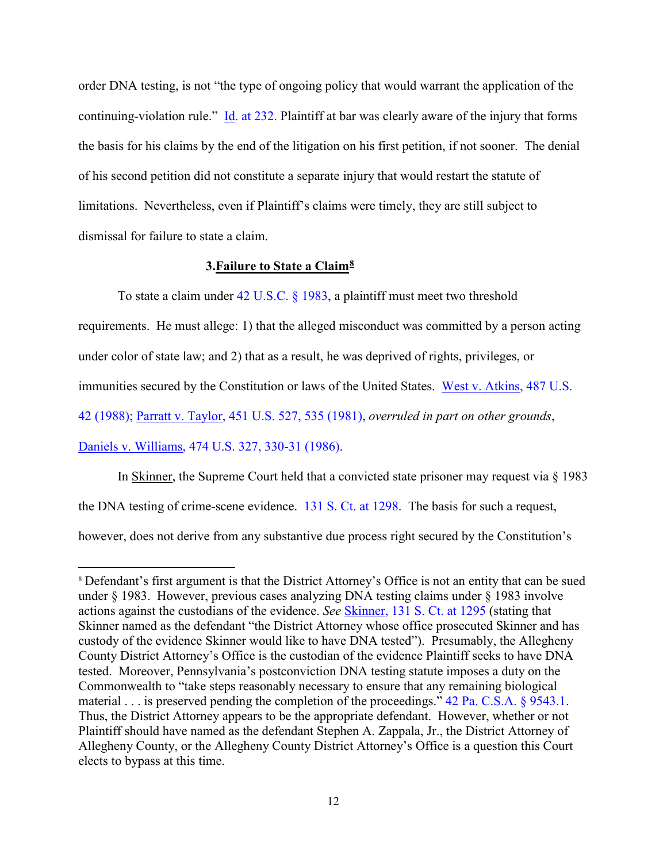order DNA testing, is not "the type of ongoing policy that would warrant the application of the continuing-violation rule."  $\underline{Id}$ . at 232. Plaintiff at bar was clearly aware of the injury that forms the basis for his claims by the end of the litigation on his first petition, if not sooner. The denial of his second petition did not constitute a separate injury that would restart the statute of limitations. Nevertheless, even if Plaintiff's claims were timely, they are still subject to dismissal for failure to state a claim.

# **3.Failure to State a Claim[8](#page-11-0)**

l

To state a claim under [42 U.S.C. § 1983,](http://www.westlaw.com/Find/default.wl?rs=kmfn4.8&vr=2.0&kmvr=2.6&FindType=L&DB=1000546&DocName=42USCAS1983&kmsource=da3.0) a plaintiff must meet two threshold requirements. He must allege: 1) that the alleged misconduct was committed by a person acting under color of state law; and 2) that as a result, he was deprived of rights, privileges, or immunities secured by the Constitution or laws of the United States. [West v. Atkins, 487 U.S.](http://www.westlaw.com/Find/default.wl?rs=kmfn4.8&vr=2.0&kmvr=2.6&FindType=Y&DB=0000780&serialnum=1988079271&kmsource=da3.0)  [42 \(1988\);](http://www.westlaw.com/Find/default.wl?rs=kmfn4.8&vr=2.0&kmvr=2.6&FindType=Y&DB=0000780&serialnum=1988079271&kmsource=da3.0) [Parratt v. Taylor, 451 U.S. 527, 535 \(1981\),](http://www.westlaw.com/Find/default.wl?rs=kmfn4.8&vr=2.0&kmvr=2.6&FindType=Y&DB=0000780&serialnum=1981121566&kmsource=da3.0) *overruled in part on other grounds*, [Daniels v. Williams, 474 U.S. 327, 330-31 \(1986\).](http://www.westlaw.com/Find/default.wl?rs=kmfn4.8&vr=2.0&kmvr=2.6&FindType=Y&cite=474US327&kmsource=da3.0)

In Skinner, the Supreme Court held that a convicted state prisoner may request via § 1983 the DNA testing of crime-scene evidence. [131 S. Ct. at 1298.](http://www.westlaw.com/Find/default.wl?rs=kmfn4.8&vr=2.0&kmvr=2.6&FindType=Y&DB=0000708&serialnum=2024730626&kmsource=da3.0) The basis for such a request, however, does not derive from any substantive due process right secured by the Constitution's

<span id="page-11-0"></span><sup>8</sup> Defendant's first argument is that the District Attorney's Office is not an entity that can be sued under § 1983. However, previous cases analyzing DNA testing claims under § 1983 involve actions against the custodians of the evidence. *See* [Skinner, 131 S. Ct. at 1295](http://www.westlaw.com/Find/default.wl?rs=kmfn4.8&vr=2.0&kmvr=2.6&FindType=Y&DB=0000708&serialnum=2024730626&kmsource=da3.0) (stating that Skinner named as the defendant "the District Attorney whose office prosecuted Skinner and has custody of the evidence Skinner would like to have DNA tested"). Presumably, the Allegheny County District Attorney's Office is the custodian of the evidence Plaintiff seeks to have DNA tested. Moreover, Pennsylvania's postconviction DNA testing statute imposes a duty on the Commonwealth to "take steps reasonably necessary to ensure that any remaining biological material . . . is preserved pending the completion of the proceedings." [42 Pa. C.S.A. § 9543.1.](http://www.westlaw.com/Find/default.wl?rs=kmfn4.8&vr=2.0&kmvr=2.6&FindType=L&DB=1000262&DocName=PA42S9543.1&kmsource=da3.0) Thus, the District Attorney appears to be the appropriate defendant. However, whether or not Plaintiff should have named as the defendant Stephen A. Zappala, Jr., the District Attorney of Allegheny County, or the Allegheny County District Attorney's Office is a question this Court elects to bypass at this time.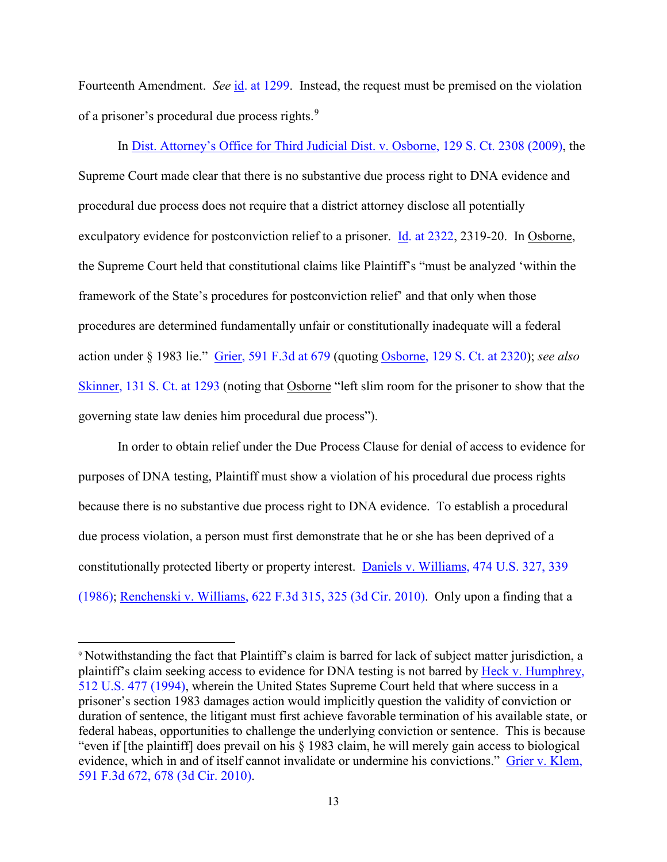Fourteenth Amendment. *See* [id. at 1299.](http://www.westlaw.com/Find/default.wl?rs=kmfn4.8&vr=2.0&kmvr=2.6&FindType=Y&DB=0000708&serialnum=2024730626&kmsource=da3.0) Instead, the request must be premised on the violation of a prisoner's procedural due process rights.<sup>[9](#page-12-0)</sup>

In [Dist. Attorney's Office for Third Judicial Dist. v. Osborne, 129 S. Ct. 2308 \(2009\),](http://www.westlaw.com/Find/default.wl?rs=kmfn4.8&vr=2.0&kmvr=2.6&FindType=Y&DB=0000708&serialnum=2019144486&kmsource=da3.0) the Supreme Court made clear that there is no substantive due process right to DNA evidence and procedural due process does not require that a district attorney disclose all potentially exculpatory evidence for postconviction relief to a prisoner. [Id. at 2322,](http://www.westlaw.com/Find/default.wl?rs=kmfn4.8&vr=2.0&kmvr=2.6&FindType=Y&DB=0000708&serialnum=2019144486&kmsource=da3.0) 2319-20. In Osborne, the Supreme Court held that constitutional claims like Plaintiff's "must be analyzed 'within the framework of the State's procedures for postconviction relief' and that only when those procedures are determined fundamentally unfair or constitutionally inadequate will a federal action under § 1983 lie." [Grier, 591 F.3d at 679](http://www.westlaw.com/Find/default.wl?rs=kmfn4.8&vr=2.0&kmvr=2.6&FindType=Y&DB=0000506&serialnum=2021088786&kmsource=da3.0) (quoting [Osborne, 129 S. Ct. at 2320\)](http://www.westlaw.com/Find/default.wl?rs=kmfn4.8&vr=2.0&kmvr=2.6&FindType=Y&DB=0000708&serialnum=2019144486&kmsource=da3.0); *see also* [Skinner, 131 S. Ct. at 1293](http://www.westlaw.com/Find/default.wl?rs=kmfn4.8&vr=2.0&kmvr=2.6&FindType=Y&DB=0000708&serialnum=2024730626&kmsource=da3.0) (noting that Osborne "left slim room for the prisoner to show that the governing state law denies him procedural due process").

In order to obtain relief under the Due Process Clause for denial of access to evidence for purposes of DNA testing, Plaintiff must show a violation of his procedural due process rights because there is no substantive due process right to DNA evidence. To establish a procedural due process violation, a person must first demonstrate that he or she has been deprived of a constitutionally protected liberty or property interest. [Daniels v. Williams, 474 U.S. 327, 339](http://www.westlaw.com/Find/default.wl?rs=kmfn4.8&vr=2.0&kmvr=2.6&FindType=Y&cite=474US327&kmsource=da3.0)  [\(1986\);](http://www.westlaw.com/Find/default.wl?rs=kmfn4.8&vr=2.0&kmvr=2.6&FindType=Y&cite=474US327&kmsource=da3.0) [Renchenski v. Williams, 622 F.3d 315, 325 \(3d Cir. 2010\).](http://www.westlaw.com/Find/default.wl?rs=kmfn4.8&vr=2.0&kmvr=2.6&FindType=Y&DB=0000506&serialnum=2023218929&kmsource=da3.0) Only upon a finding that a

l

<span id="page-12-0"></span><sup>9</sup> Notwithstanding the fact that Plaintiff's claim is barred for lack of subject matter jurisdiction, a plaintiff's claim seeking access to evidence for DNA testing is not barred by [Heck v. Humphrey,](http://www.westlaw.com/Find/default.wl?rs=kmfn4.8&vr=2.0&kmvr=2.6&FindType=Y&DB=0000780&serialnum=1994135537&kmsource=da3.0)  [512 U.S. 477 \(1994\),](http://www.westlaw.com/Find/default.wl?rs=kmfn4.8&vr=2.0&kmvr=2.6&FindType=Y&DB=0000780&serialnum=1994135537&kmsource=da3.0) wherein the United States Supreme Court held that where success in a prisoner's section 1983 damages action would implicitly question the validity of conviction or duration of sentence, the litigant must first achieve favorable termination of his available state, or federal habeas, opportunities to challenge the underlying conviction or sentence. This is because "even if [the plaintiff] does prevail on his § 1983 claim, he will merely gain access to biological evidence, which in and of itself cannot invalidate or undermine his convictions." [Grier v. Klem,](http://www.westlaw.com/Find/default.wl?rs=kmfn4.8&vr=2.0&kmvr=2.6&FindType=Y&DB=0000506&serialnum=2021088786&kmsource=da3.0)  [591 F.3d 672, 678 \(3d Cir. 2010\).](http://www.westlaw.com/Find/default.wl?rs=kmfn4.8&vr=2.0&kmvr=2.6&FindType=Y&DB=0000506&serialnum=2021088786&kmsource=da3.0)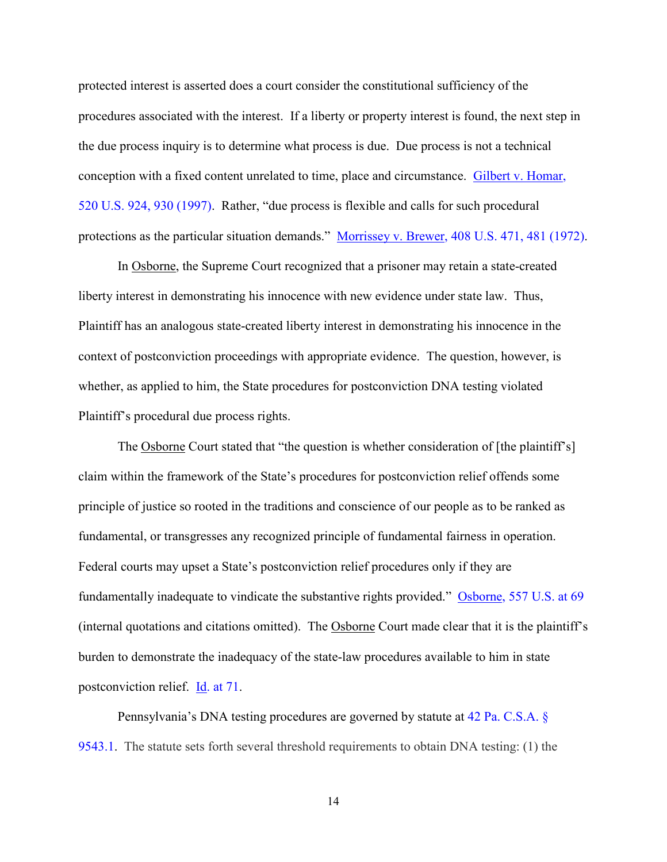protected interest is asserted does a court consider the constitutional sufficiency of the procedures associated with the interest. If a liberty or property interest is found, the next step in the due process inquiry is to determine what process is due. Due process is not a technical conception with a fixed content unrelated to time, place and circumstance. [Gilbert v. Homar,](http://www.westlaw.com/Find/default.wl?rs=kmfn4.8&vr=2.0&kmvr=2.6&FindType=Y&DB=0000780&serialnum=1997123116&kmsource=da3.0)  [520 U.S. 924, 930 \(1997\).](http://www.westlaw.com/Find/default.wl?rs=kmfn4.8&vr=2.0&kmvr=2.6&FindType=Y&DB=0000780&serialnum=1997123116&kmsource=da3.0) Rather, "due process is flexible and calls for such procedural protections as the particular situation demands." [Morrissey v. Brewer, 408 U.S. 471, 481 \(1972\).](http://www.westlaw.com/Find/default.wl?rs=kmfn4.8&vr=2.0&kmvr=2.6&FindType=Y&DB=0000780&serialnum=1972127185&kmsource=da3.0)

In Osborne, the Supreme Court recognized that a prisoner may retain a state-created liberty interest in demonstrating his innocence with new evidence under state law. Thus, Plaintiff has an analogous state-created liberty interest in demonstrating his innocence in the context of postconviction proceedings with appropriate evidence. The question, however, is whether, as applied to him, the State procedures for postconviction DNA testing violated Plaintiff's procedural due process rights.

The Osborne Court stated that "the question is whether consideration of [the plaintiff's] claim within the framework of the State's procedures for postconviction relief offends some principle of justice so rooted in the traditions and conscience of our people as to be ranked as fundamental, or transgresses any recognized principle of fundamental fairness in operation. Federal courts may upset a State's postconviction relief procedures only if they are fundamentally inadequate to vindicate the substantive rights provided." [Osborne, 557 U.S. at 69](http://www.westlaw.com/Find/default.wl?rs=kmfn4.8&vr=2.0&kmvr=2.6&FindType=Y&DB=0000780&serialnum=2019144486&kmsource=da3.0) (internal quotations and citations omitted). The Osborne Court made clear that it is the plaintiff's burden to demonstrate the inadequacy of the state-law procedures available to him in state postconviction relief. **Id.** at 71.

Pennsylvania's DNA testing procedures are governed by statute at [42 Pa. C.S.A. §](http://www.westlaw.com/Find/default.wl?rs=kmfn4.8&vr=2.0&kmvr=2.6&FindType=L&DB=1000262&DocName=PA42S9543.1&kmsource=da3.0)  [9543.1.](http://www.westlaw.com/Find/default.wl?rs=kmfn4.8&vr=2.0&kmvr=2.6&FindType=L&DB=1000262&DocName=PA42S9543.1&kmsource=da3.0) The statute sets forth several threshold requirements to obtain DNA testing: (1) the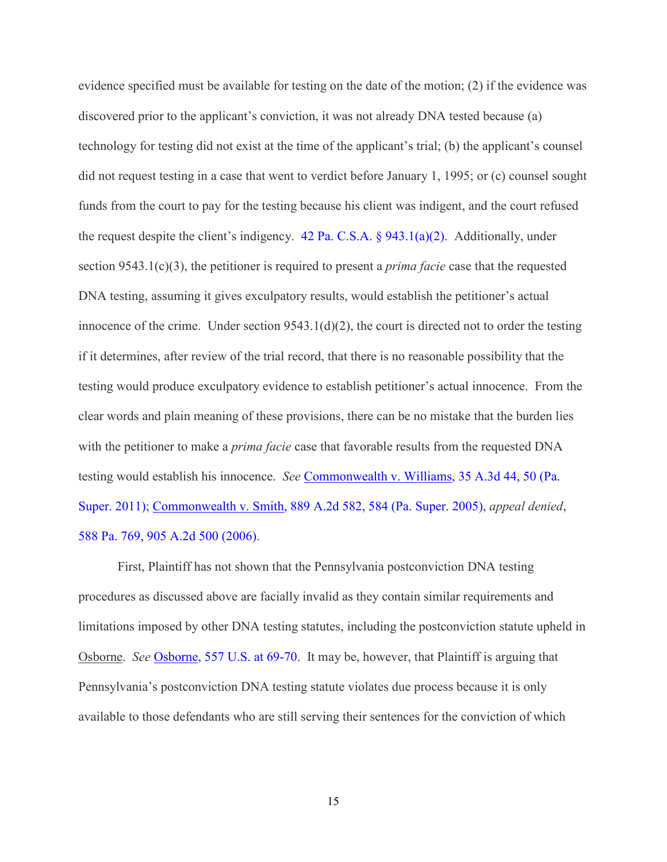evidence specified must be available for testing on the date of the motion; (2) if the evidence was discovered prior to the applicant's conviction, it was not already DNA tested because (a) technology for testing did not exist at the time of the applicant's trial; (b) the applicant's counsel did not request testing in a case that went to verdict before January 1, 1995; or (c) counsel sought funds from the court to pay for the testing because his client was indigent, and the court refused the request despite the client's indigency. 42 Pa. C.S.A.  $\S$  943.1(a)(2). Additionally, under section 9543.1(c)(3), the petitioner is required to present a *prima facie* case that the requested DNA testing, assuming it gives exculpatory results, would establish the petitioner's actual innocence of the crime. Under section  $9543.1(d)(2)$ , the court is directed not to order the testing if it determines, after review of the trial record, that there is no reasonable possibility that the testing would produce exculpatory evidence to establish petitioner's actual innocence. From the clear words and plain meaning of these provisions, there can be no mistake that the burden lies with the petitioner to make a *prima facie* case that favorable results from the requested DNA testing would establish his innocence. *See* [Commonwealth v. Williams, 35 A.3d 44, 50 \(Pa.](http://www.westlaw.com/Find/default.wl?rs=kmfn4.8&vr=2.0&kmvr=2.6&FindType=Y&DB=0007691&serialnum=2026751936&kmsource=da3.0)  [Super. 2011\);](http://www.westlaw.com/Find/default.wl?rs=kmfn4.8&vr=2.0&kmvr=2.6&FindType=Y&DB=0007691&serialnum=2026751936&kmsource=da3.0) [Commonwealth v. Smith, 889 A.2d 582, 584 \(Pa. Super. 2005\),](http://www.westlaw.com/Find/default.wl?rs=kmfn4.8&vr=2.0&kmvr=2.6&FindType=Y&DB=0000162&serialnum=2007831259&kmsource=da3.0) *appeal denied*, [588 Pa. 769, 905 A.2d 500 \(2006\).](http://www.westlaw.com/Find/default.wl?rs=kmfn4.8&vr=2.0&kmvr=2.6&FindType=Y&cite=588PA769&kmsource=da3.0)

First, Plaintiff has not shown that the Pennsylvania postconviction DNA testing procedures as discussed above are facially invalid as they contain similar requirements and limitations imposed by other DNA testing statutes, including the postconviction statute upheld in Osborne. *See* [Osborne, 557 U.S. at 69-70.](http://www.westlaw.com/Find/default.wl?rs=kmfn4.8&vr=2.0&kmvr=2.6&FindType=Y&DB=0000780&serialnum=2019144486&kmsource=da3.0) It may be, however, that Plaintiff is arguing that Pennsylvania's postconviction DNA testing statute violates due process because it is only available to those defendants who are still serving their sentences for the conviction of which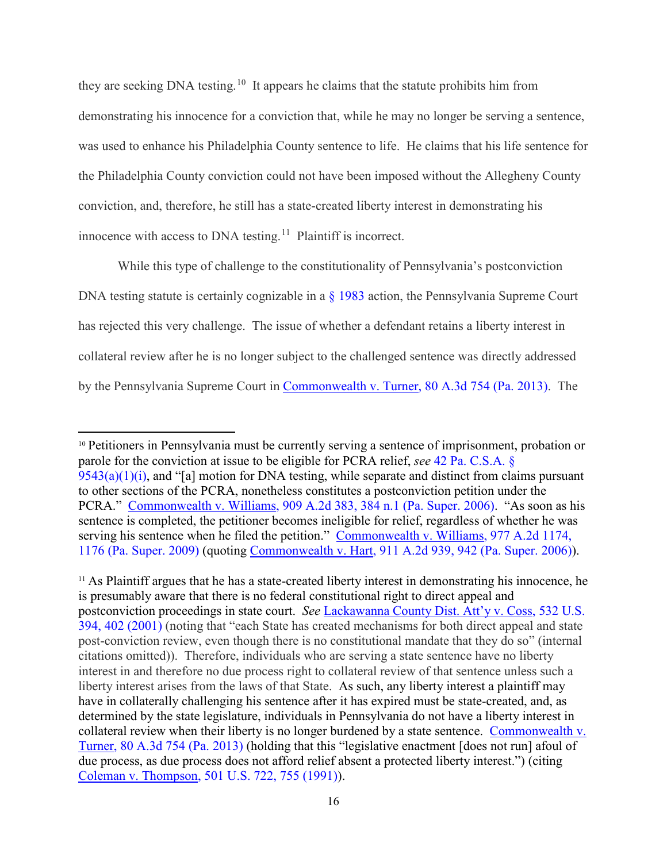they are seeking DNA testing.<sup>[10](#page-15-0)</sup> It appears he claims that the statute prohibits him from demonstrating his innocence for a conviction that, while he may no longer be serving a sentence, was used to enhance his Philadelphia County sentence to life. He claims that his life sentence for the Philadelphia County conviction could not have been imposed without the Allegheny County conviction, and, therefore, he still has a state-created liberty interest in demonstrating his innocence with access to DNA testing.<sup>[11](#page-15-1)</sup> Plaintiff is incorrect.

While this type of challenge to the constitutionality of Pennsylvania's postconviction DNA testing statute is certainly cognizable in a [§ 1983](http://www.westlaw.com/Find/default.wl?rs=kmfn4.8&vr=2.0&kmvr=2.6&FindType=L&DB=1000546&DocName=42USCAS1983&kmsource=da3.0) action, the Pennsylvania Supreme Court has rejected this very challenge. The issue of whether a defendant retains a liberty interest in collateral review after he is no longer subject to the challenged sentence was directly addressed by the Pennsylvania Supreme Court in [Commonwealth v. Turner, 80 A.3d 754 \(Pa. 2013\).](http://www.westlaw.com/Find/default.wl?rs=kmfn4.8&vr=2.0&kmvr=2.6&FindType=Y&DB=0007691&serialnum=2032085156&kmsource=da3.0) The

<span id="page-15-0"></span><sup>&</sup>lt;sup>10</sup> Petitioners in Pennsylvania must be currently serving a sentence of imprisonment, probation or parole for the conviction at issue to be eligible for PCRA relief, *see* [42 Pa. C.S.A. §](http://www.westlaw.com/Find/default.wl?rs=kmfn4.8&vr=2.0&kmvr=2.6&FindType=L&DB=1000262&DocName=PA42S9543&kmsource=da3.0)   $9543(a)(1)(i)$ , and "[a] motion for DNA testing, while separate and distinct from claims pursuant to other sections of the PCRA, nonetheless constitutes a postconviction petition under the PCRA." [Commonwealth v. Williams, 909 A.2d 383, 384 n.1 \(Pa. Super. 2006\).](http://www.westlaw.com/Find/default.wl?rs=kmfn4.8&vr=2.0&kmvr=2.6&FindType=Y&DB=0000162&serialnum=2010395899&kmsource=da3.0) "As soon as his sentence is completed, the petitioner becomes ineligible for relief, regardless of whether he was serving his sentence when he filed the petition." [Commonwealth v. Williams, 977 A.2d 1174,](http://www.westlaw.com/Find/default.wl?rs=kmfn4.8&vr=2.0&kmvr=2.6&FindType=Y&DB=0000162&serialnum=2019307194&kmsource=da3.0)  [1176 \(Pa. Super. 2009\)](http://www.westlaw.com/Find/default.wl?rs=kmfn4.8&vr=2.0&kmvr=2.6&FindType=Y&DB=0000162&serialnum=2019307194&kmsource=da3.0) (quoting [Commonwealth v. Hart, 911 A.2d 939, 942 \(Pa. Super. 2006\)\)](http://www.westlaw.com/Find/default.wl?rs=kmfn4.8&vr=2.0&kmvr=2.6&FindType=Y&DB=0000162&serialnum=2010648782&kmsource=da3.0).

<span id="page-15-1"></span><sup>11</sup> As Plaintiff argues that he has a state-created liberty interest in demonstrating his innocence, he is presumably aware that there is no federal constitutional right to direct appeal and postconviction proceedings in state court. *See* [Lackawanna County Dist. Att'y v. Coss, 532 U.S.](http://www.westlaw.com/Find/default.wl?rs=kmfn4.8&vr=2.0&kmvr=2.6&FindType=Y&DB=0000780&serialnum=2001331013&kmsource=da3.0)  [394, 402 \(2001\)](http://www.westlaw.com/Find/default.wl?rs=kmfn4.8&vr=2.0&kmvr=2.6&FindType=Y&DB=0000780&serialnum=2001331013&kmsource=da3.0) (noting that "each State has created mechanisms for both direct appeal and state post-conviction review, even though there is no constitutional mandate that they do so" (internal citations omitted)). Therefore, individuals who are serving a state sentence have no liberty interest in and therefore no due process right to collateral review of that sentence unless such a liberty interest arises from the laws of that State. As such, any liberty interest a plaintiff may have in collaterally challenging his sentence after it has expired must be state-created, and, as determined by the state legislature, individuals in Pennsylvania do not have a liberty interest in collateral review when their liberty is no longer burdened by a state sentence. [Commonwealth v.](http://www.westlaw.com/Find/default.wl?rs=kmfn4.8&vr=2.0&kmvr=2.6&FindType=Y&DB=0007691&serialnum=2032085156&kmsource=da3.0)  [Turner, 80 A.3d 754 \(Pa. 2013\)](http://www.westlaw.com/Find/default.wl?rs=kmfn4.8&vr=2.0&kmvr=2.6&FindType=Y&DB=0007691&serialnum=2032085156&kmsource=da3.0) (holding that this "legislative enactment [does not run] afoul of due process, as due process does not afford relief absent a protected liberty interest.") (citing [Coleman v. Thompson, 501 U.S. 722, 755 \(1991\)\)](http://www.westlaw.com/Find/default.wl?rs=kmfn4.8&vr=2.0&kmvr=2.6&FindType=Y&DB=0000780&serialnum=1991113585&kmsource=da3.0).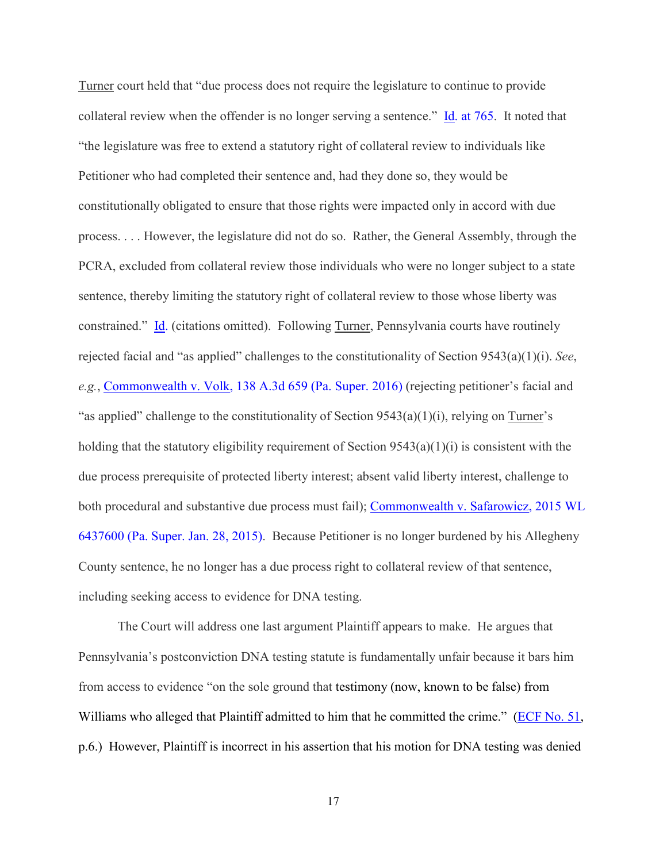Turner court held that "due process does not require the legislature to continue to provide collateral review when the offender is no longer serving a sentence." [Id. at 765.](http://www.westlaw.com/Find/default.wl?rs=kmfn4.8&vr=2.0&kmvr=2.6&FindType=Y&DB=0007691&serialnum=2032085156&kmsource=da3.0) It noted that "the legislature was free to extend a statutory right of collateral review to individuals like Petitioner who had completed their sentence and, had they done so, they would be constitutionally obligated to ensure that those rights were impacted only in accord with due process. . . . However, the legislature did not do so. Rather, the General Assembly, through the PCRA, excluded from collateral review those individuals who were no longer subject to a state sentence, thereby limiting the statutory right of collateral review to those whose liberty was constrained." [Id.](http://www.westlaw.com/Find/default.wl?rs=kmfn4.8&vr=2.0&kmvr=2.6&FindType=Y&DB=0007691&serialnum=2032085156&kmsource=da3.0) (citations omitted). Following Turner, Pennsylvania courts have routinely rejected facial and "as applied" challenges to the constitutionality of Section 9543(a)(1)(i). *See*, *e.g.*, [Commonwealth v. Volk, 138 A.3d 659 \(Pa. Super. 2016\)](http://www.westlaw.com/Find/default.wl?rs=kmfn4.8&vr=2.0&kmvr=2.6&FindType=Y&DB=0007691&serialnum=2038773309&kmsource=da3.0) (rejecting petitioner's facial and "as applied" challenge to the constitutionality of Section  $9543(a)(1)(i)$ , relying on Turner's holding that the statutory eligibility requirement of Section 9543(a)(1)(i) is consistent with the due process prerequisite of protected liberty interest; absent valid liberty interest, challenge to both procedural and substantive due process must fail); [Commonwealth v. Safarowicz, 2015 WL](http://www.westlaw.com/Find/default.wl?rs=kmfn4.8&vr=2.0&kmvr=2.6&FindType=Y&DB=0000999&serialnum=2037451130&kmsource=da3.0)  [6437600 \(Pa. Super. Jan. 28, 2015\).](http://www.westlaw.com/Find/default.wl?rs=kmfn4.8&vr=2.0&kmvr=2.6&FindType=Y&DB=0000999&serialnum=2037451130&kmsource=da3.0) Because Petitioner is no longer burdened by his Allegheny County sentence, he no longer has a due process right to collateral review of that sentence, including seeking access to evidence for DNA testing.

The Court will address one last argument Plaintiff appears to make. He argues that Pennsylvania's postconviction DNA testing statute is fundamentally unfair because it bars him from access to evidence "on the sole ground that testimony (now, known to be false) from Williams who alleged that Plaintiff admitted to him that he committed the crime." [\(ECF No. 51,](https://ecf.pawd.uscourts.gov/doc1/15715445477) p.6.) However, Plaintiff is incorrect in his assertion that his motion for DNA testing was denied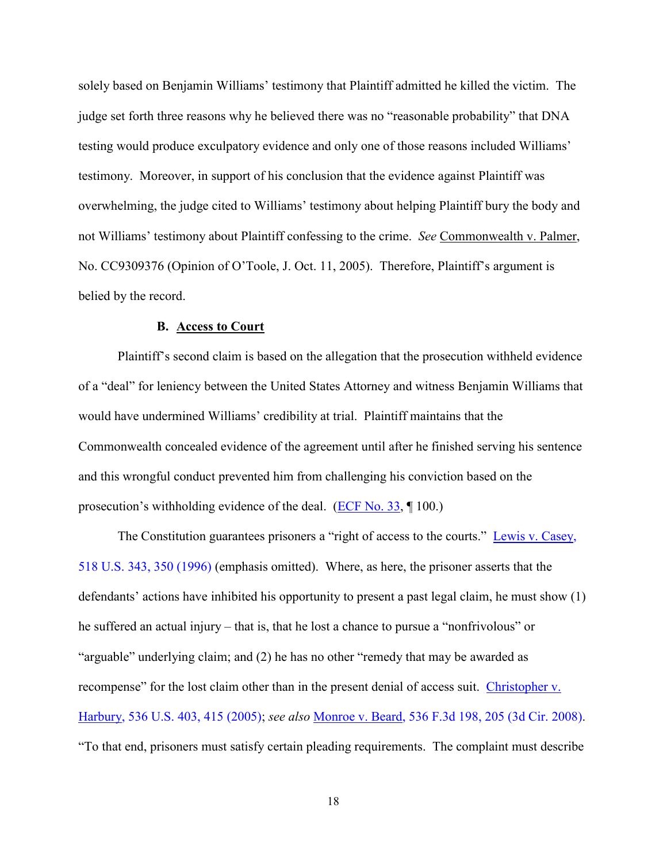solely based on Benjamin Williams' testimony that Plaintiff admitted he killed the victim. The judge set forth three reasons why he believed there was no "reasonable probability" that DNA testing would produce exculpatory evidence and only one of those reasons included Williams' testimony. Moreover, in support of his conclusion that the evidence against Plaintiff was overwhelming, the judge cited to Williams' testimony about helping Plaintiff bury the body and not Williams' testimony about Plaintiff confessing to the crime. *See* Commonwealth v. Palmer, No. CC9309376 (Opinion of O'Toole, J. Oct. 11, 2005). Therefore, Plaintiff's argument is belied by the record.

## **B. Access to Court**

Plaintiff's second claim is based on the allegation that the prosecution withheld evidence of a "deal" for leniency between the United States Attorney and witness Benjamin Williams that would have undermined Williams' credibility at trial. Plaintiff maintains that the Commonwealth concealed evidence of the agreement until after he finished serving his sentence and this wrongful conduct prevented him from challenging his conviction based on the prosecution's withholding evidence of the deal. [\(ECF No. 33,](https://ecf.pawd.uscourts.gov/doc1/15715346873) ¶ 100.)

The Constitution guarantees prisoners a "right of access to the courts." Lewis v. Casey, [518 U.S. 343, 350 \(1996\)](http://www.westlaw.com/Find/default.wl?rs=kmfn4.8&vr=2.0&kmvr=2.6&FindType=Y&DB=0000780&serialnum=1996140002&kmsource=da3.0) (emphasis omitted). Where, as here, the prisoner asserts that the defendants' actions have inhibited his opportunity to present a past legal claim, he must show (1) he suffered an actual injury – that is, that he lost a chance to pursue a "nonfrivolous" or "arguable" underlying claim; and (2) he has no other "remedy that may be awarded as recompense" for the lost claim other than in the present denial of access suit. [Christopher v.](http://www.westlaw.com/Find/default.wl?rs=kmfn4.8&vr=2.0&kmvr=2.6&FindType=Y&DB=0000780&serialnum=2002381664&kmsource=da3.0)  [Harbury, 536 U.S. 403, 415 \(2005\);](http://www.westlaw.com/Find/default.wl?rs=kmfn4.8&vr=2.0&kmvr=2.6&FindType=Y&DB=0000780&serialnum=2002381664&kmsource=da3.0) *see also* [Monroe v. Beard, 536 F.3d 198, 205 \(3d Cir. 2008\).](http://www.westlaw.com/Find/default.wl?rs=kmfn4.8&vr=2.0&kmvr=2.6&FindType=Y&DB=0000506&serialnum=2016634651&kmsource=da3.0) "To that end, prisoners must satisfy certain pleading requirements. The complaint must describe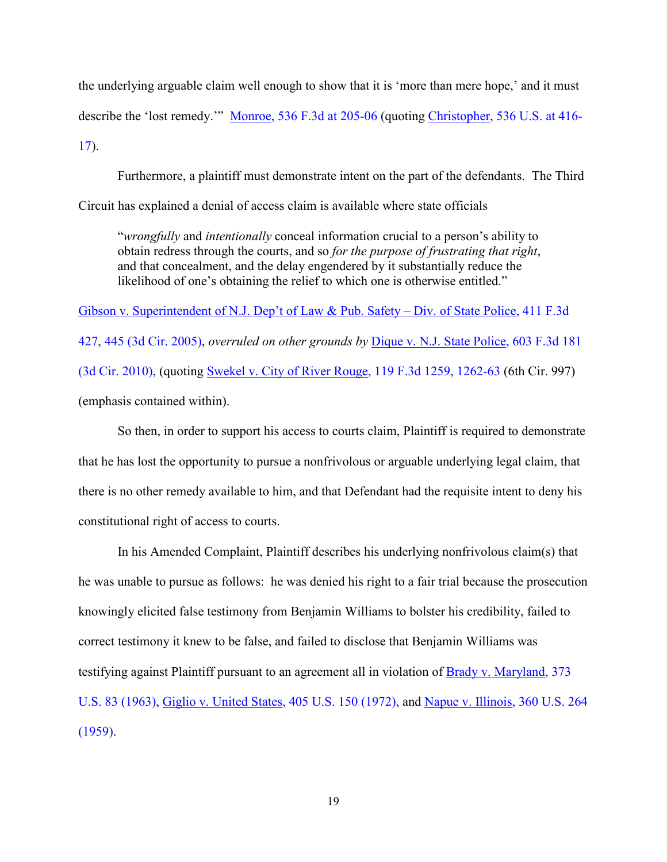the underlying arguable claim well enough to show that it is 'more than mere hope,' and it must describe the 'lost remedy.'" [Monroe, 536 F.3d at 205-06](http://www.westlaw.com/Find/default.wl?rs=kmfn4.8&vr=2.0&kmvr=2.6&FindType=Y&DB=0000506&serialnum=2016634651&kmsource=da3.0) (quoting [Christopher, 536 U.S. at 416-](http://www.westlaw.com/Find/default.wl?rs=kmfn4.8&vr=2.0&kmvr=2.6&FindType=Y&DB=0000780&serialnum=2002381664&kmsource=da3.0) [17\)](http://www.westlaw.com/Find/default.wl?rs=kmfn4.8&vr=2.0&kmvr=2.6&FindType=Y&DB=0000780&serialnum=2002381664&kmsource=da3.0).

Furthermore, a plaintiff must demonstrate intent on the part of the defendants. The Third Circuit has explained a denial of access claim is available where state officials

"*wrongfully* and *intentionally* conceal information crucial to a person's ability to obtain redress through the courts, and so *for the purpose of frustrating that right*, and that concealment, and the delay engendered by it substantially reduce the likelihood of one's obtaining the relief to which one is otherwise entitled."

[Gibson v. Superintendent of N.J. Dep't of Law & Pub. Safety – Div. of State Police, 411 F.3d](http://www.westlaw.com/Find/default.wl?rs=kmfn4.8&vr=2.0&kmvr=2.6&FindType=Y&DB=0000506&serialnum=2006799136&kmsource=da3.0)  [427, 445 \(3d Cir. 2005\),](http://www.westlaw.com/Find/default.wl?rs=kmfn4.8&vr=2.0&kmvr=2.6&FindType=Y&DB=0000506&serialnum=2006799136&kmsource=da3.0) *overruled on other grounds by* [Dique v. N.J. State Police, 603 F.3d 181](http://www.westlaw.com/Find/default.wl?rs=kmfn4.8&vr=2.0&kmvr=2.6&FindType=Y&DB=0000506&serialnum=2021926707&kmsource=da3.0)  [\(3d Cir. 2010\),](http://www.westlaw.com/Find/default.wl?rs=kmfn4.8&vr=2.0&kmvr=2.6&FindType=Y&DB=0000506&serialnum=2021926707&kmsource=da3.0) (quoting [Swekel v. City of River Rouge, 119 F.3d 1259, 1262-63](http://www.westlaw.com/Find/default.wl?rs=kmfn4.8&vr=2.0&kmvr=2.6&FindType=Y&DB=0000506&serialnum=1997154543&kmsource=da3.0) (6th Cir. 997) (emphasis contained within).

So then, in order to support his access to courts claim, Plaintiff is required to demonstrate that he has lost the opportunity to pursue a nonfrivolous or arguable underlying legal claim, that there is no other remedy available to him, and that Defendant had the requisite intent to deny his constitutional right of access to courts.

In his Amended Complaint, Plaintiff describes his underlying nonfrivolous claim(s) that he was unable to pursue as follows: he was denied his right to a fair trial because the prosecution knowingly elicited false testimony from Benjamin Williams to bolster his credibility, failed to correct testimony it knew to be false, and failed to disclose that Benjamin Williams was testifying against Plaintiff pursuant to an agreement all in violation of [Brady v. Maryland, 373](http://www.westlaw.com/Find/default.wl?rs=kmfn4.8&vr=2.0&kmvr=2.6&FindType=Y&DB=0000780&serialnum=1963125353&kmsource=da3.0)  [U.S. 83 \(1963\),](http://www.westlaw.com/Find/default.wl?rs=kmfn4.8&vr=2.0&kmvr=2.6&FindType=Y&DB=0000780&serialnum=1963125353&kmsource=da3.0) [Giglio v. United States, 405 U.S. 150 \(1972\),](http://www.westlaw.com/Find/default.wl?rs=kmfn4.8&vr=2.0&kmvr=2.6&FindType=Y&DB=0000780&serialnum=1972127068&kmsource=da3.0) and [Napue v. Illinois, 360 U.S. 264](http://www.westlaw.com/Find/default.wl?rs=kmfn4.8&vr=2.0&kmvr=2.6&FindType=Y&DB=0000780&serialnum=1959123779&kmsource=da3.0)  [\(1959\).](http://www.westlaw.com/Find/default.wl?rs=kmfn4.8&vr=2.0&kmvr=2.6&FindType=Y&DB=0000780&serialnum=1959123779&kmsource=da3.0)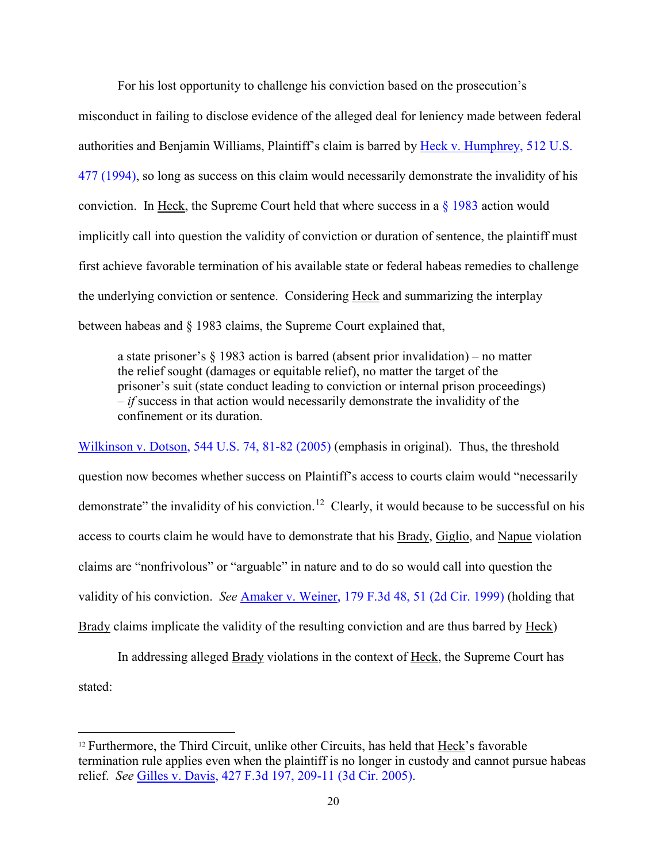For his lost opportunity to challenge his conviction based on the prosecution's misconduct in failing to disclose evidence of the alleged deal for leniency made between federal authorities and Benjamin Williams, Plaintiff's claim is barred by [Heck v. Humphrey, 512 U.S.](http://www.westlaw.com/Find/default.wl?rs=kmfn4.8&vr=2.0&kmvr=2.6&FindType=Y&DB=0000780&serialnum=1994135537&kmsource=da3.0)  [477 \(1994\),](http://www.westlaw.com/Find/default.wl?rs=kmfn4.8&vr=2.0&kmvr=2.6&FindType=Y&DB=0000780&serialnum=1994135537&kmsource=da3.0) so long as success on this claim would necessarily demonstrate the invalidity of his conviction. In Heck, the Supreme Court held that where success in a  $\S$  1983 action would implicitly call into question the validity of conviction or duration of sentence, the plaintiff must first achieve favorable termination of his available state or federal habeas remedies to challenge the underlying conviction or sentence. Considering Heck and summarizing the interplay between habeas and § 1983 claims, the Supreme Court explained that,

a state prisoner's § 1983 action is barred (absent prior invalidation) – no matter the relief sought (damages or equitable relief), no matter the target of the prisoner's suit (state conduct leading to conviction or internal prison proceedings) – *if* success in that action would necessarily demonstrate the invalidity of the confinement or its duration.

[Wilkinson v. Dotson, 544 U.S. 74, 81-82 \(2005\)](http://www.westlaw.com/Find/default.wl?rs=kmfn4.8&vr=2.0&kmvr=2.6&FindType=Y&DB=0000780&serialnum=2006315804&kmsource=da3.0) (emphasis in original). Thus, the threshold question now becomes whether success on Plaintiff's access to courts claim would "necessarily demonstrate" the invalidity of his conviction.<sup>[12](#page-19-0)</sup> Clearly, it would because to be successful on his access to courts claim he would have to demonstrate that his Brady, Giglio, and Napue violation claims are "nonfrivolous" or "arguable" in nature and to do so would call into question the validity of his conviction. *See* [Amaker v. Weiner, 179 F.3d 48, 51 \(2d Cir. 1999\)](http://www.westlaw.com/Find/default.wl?rs=kmfn4.8&vr=2.0&kmvr=2.6&FindType=Y&DB=0000506&serialnum=1999133650&kmsource=da3.0) (holding that Brady claims implicate the validity of the resulting conviction and are thus barred by Heck)

 In addressing alleged Brady violations in the context of Heck, the Supreme Court has stated:

<span id="page-19-0"></span><sup>&</sup>lt;sup>12</sup> Furthermore, the Third Circuit, unlike other Circuits, has held that Heck's favorable termination rule applies even when the plaintiff is no longer in custody and cannot pursue habeas relief. *See* [Gilles v. Davis, 427 F.3d 197, 209-11 \(3d Cir. 2005\).](http://www.westlaw.com/Find/default.wl?rs=kmfn4.8&vr=2.0&kmvr=2.6&FindType=Y&DB=0000506&serialnum=2007564247&kmsource=da3.0)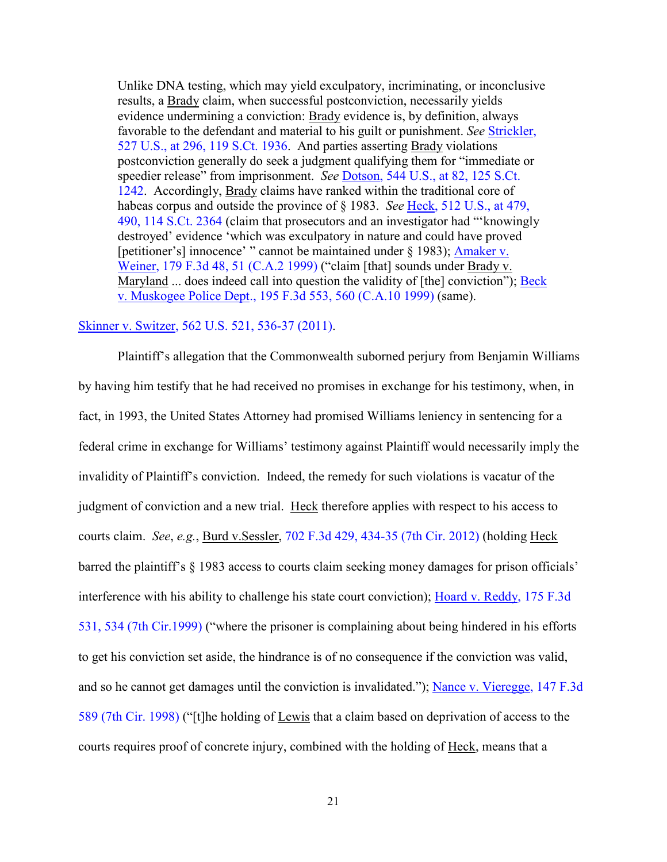Unlike DNA testing, which may yield exculpatory, incriminating, or inconclusive results, a Brady claim, when successful postconviction, necessarily yields evidence undermining a conviction: Brady evidence is, by definition, always favorable to the defendant and material to his guilt or punishment. *See* [Strickler,](http://www.westlaw.com/Find/default.wl?rs=kmfn4.8&vr=2.0&kmvr=2.6&FindType=Y&DB=0000780&serialnum=1999142645&kmsource=da3.0)  [527 U.S., at 296, 119 S.Ct. 1936.](http://www.westlaw.com/Find/default.wl?rs=kmfn4.8&vr=2.0&kmvr=2.6&FindType=Y&DB=0000780&serialnum=1999142645&kmsource=da3.0) And parties asserting Brady violations postconviction generally do seek a judgment qualifying them for "immediate or speedier release" from imprisonment. *See* [Dotson, 544 U.S., at 82, 125 S.Ct.](http://www.westlaw.com/Find/default.wl?rs=kmfn4.8&vr=2.0&kmvr=2.6&FindType=Y&DB=0000780&serialnum=2006315804&kmsource=da3.0)  [1242.](http://www.westlaw.com/Find/default.wl?rs=kmfn4.8&vr=2.0&kmvr=2.6&FindType=Y&DB=0000780&serialnum=2006315804&kmsource=da3.0) Accordingly, Brady claims have ranked within the traditional core of habeas corpus and outside the province of § 1983. *See* [Heck, 512 U.S., at 479,](http://www.westlaw.com/Find/default.wl?rs=kmfn4.8&vr=2.0&kmvr=2.6&FindType=Y&DB=0000780&serialnum=1994135537&kmsource=da3.0)  [490, 114 S.Ct. 2364](http://www.westlaw.com/Find/default.wl?rs=kmfn4.8&vr=2.0&kmvr=2.6&FindType=Y&DB=0000780&serialnum=1994135537&kmsource=da3.0) (claim that prosecutors and an investigator had "'knowingly destroyed' evidence 'which was exculpatory in nature and could have proved [petitioner's] innocence' " cannot be maintained under § 1983); Amaker v. [Weiner, 179 F.3d 48, 51 \(C.A.2 1999\)](http://www.westlaw.com/Find/default.wl?rs=kmfn4.8&vr=2.0&kmvr=2.6&FindType=Y&DB=0000506&serialnum=1999133650&kmsource=da3.0) ("claim [that] sounds under Brady v. Maryland ... does indeed call into question the validity of [the] conviction"); Beck [v. Muskogee Police Dept., 195 F.3d 553, 560 \(C.A.10 1999\)](http://www.westlaw.com/Find/default.wl?rs=kmfn4.8&vr=2.0&kmvr=2.6&FindType=Y&DB=0000506&serialnum=1999221876&kmsource=da3.0) (same).

## [Skinner v. Switzer, 562 U.S. 521, 536-37 \(2011\).](http://www.westlaw.com/Find/default.wl?rs=kmfn4.8&vr=2.0&kmvr=2.6&FindType=Y&DB=0000780&serialnum=2024730626&kmsource=da3.0)

Plaintiff's allegation that the Commonwealth suborned perjury from Benjamin Williams by having him testify that he had received no promises in exchange for his testimony, when, in fact, in 1993, the United States Attorney had promised Williams leniency in sentencing for a federal crime in exchange for Williams' testimony against Plaintiff would necessarily imply the invalidity of Plaintiff's conviction. Indeed, the remedy for such violations is vacatur of the judgment of conviction and a new trial. Heck therefore applies with respect to his access to courts claim. *See*, *e.g.*, Burd v.Sessler, [702 F.3d 429, 434-35 \(7th Cir. 2012\)](http://www.westlaw.com/Find/default.wl?rs=kmfn4.8&vr=2.0&kmvr=2.6&FindType=Y&DB=0000506&serialnum=2029450573&kmsource=da3.0) (holding Heck barred the plaintiff's § 1983 access to courts claim seeking money damages for prison officials' interference with his ability to challenge his state court conviction); [Hoard v. Reddy, 175 F.3d](http://www.westlaw.com/Find/default.wl?rs=kmfn4.8&vr=2.0&kmvr=2.6&FindType=Y&DB=0000506&serialnum=1999107421&kmsource=da3.0)  [531, 534 \(7th Cir.1999\)](http://www.westlaw.com/Find/default.wl?rs=kmfn4.8&vr=2.0&kmvr=2.6&FindType=Y&DB=0000506&serialnum=1999107421&kmsource=da3.0) ("where the prisoner is complaining about being hindered in his efforts to get his conviction set aside, the hindrance is of no consequence if the conviction was valid, and so he cannot get damages until the conviction is invalidated."); [Nance v. Vieregge, 147 F.3d](http://www.westlaw.com/Find/default.wl?rs=kmfn4.8&vr=2.0&kmvr=2.6&FindType=Y&DB=0000506&serialnum=1998127686&kmsource=da3.0)  [589 \(7th Cir. 1998\)](http://www.westlaw.com/Find/default.wl?rs=kmfn4.8&vr=2.0&kmvr=2.6&FindType=Y&DB=0000506&serialnum=1998127686&kmsource=da3.0) ("[t]he holding of Lewis that a claim based on deprivation of access to the courts requires proof of concrete injury, combined with the holding of Heck, means that a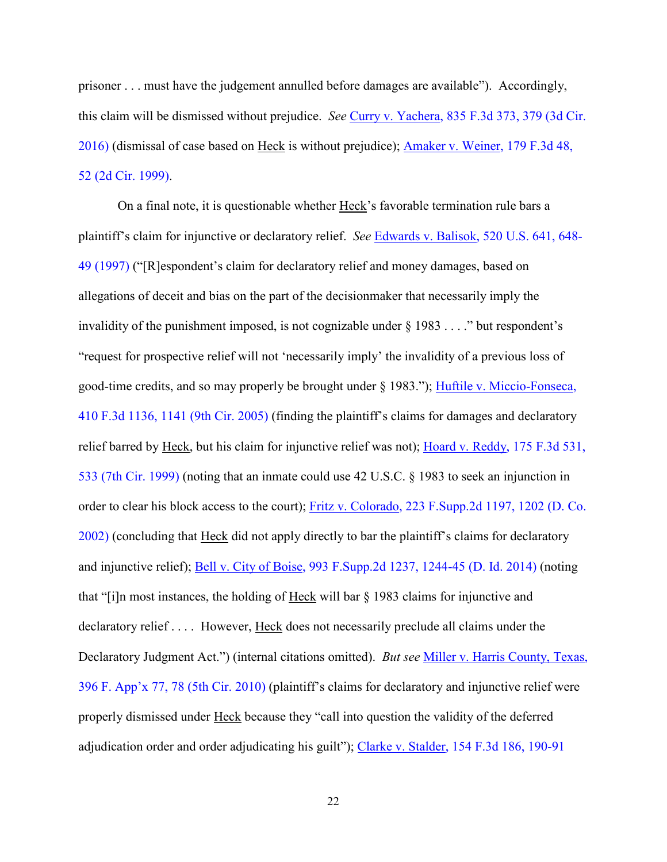prisoner . . . must have the judgement annulled before damages are available"). Accordingly, this claim will be dismissed without prejudice. *See* [Curry v. Yachera, 835 F.3d 373, 379 \(3d Cir.](http://www.westlaw.com/Find/default.wl?rs=kmfn4.8&vr=2.0&kmvr=2.6&FindType=Y&DB=0000506&serialnum=2039692740&kmsource=da3.0)  [2016\)](http://www.westlaw.com/Find/default.wl?rs=kmfn4.8&vr=2.0&kmvr=2.6&FindType=Y&DB=0000506&serialnum=2039692740&kmsource=da3.0) (dismissal of case based on Heck is without prejudice); [Amaker v. Weiner, 179 F.3d 48,](http://www.westlaw.com/Find/default.wl?rs=kmfn4.8&vr=2.0&kmvr=2.6&FindType=Y&DB=0000506&serialnum=1999133650&kmsource=da3.0)  [52 \(2d Cir. 1999\).](http://www.westlaw.com/Find/default.wl?rs=kmfn4.8&vr=2.0&kmvr=2.6&FindType=Y&DB=0000506&serialnum=1999133650&kmsource=da3.0)

 On a final note, it is questionable whether Heck's favorable termination rule bars a plaintiff's claim for injunctive or declaratory relief. *See* [Edwards v. Balisok, 520 U.S. 641, 648-](http://www.westlaw.com/Find/default.wl?rs=kmfn4.8&vr=2.0&kmvr=2.6&FindType=Y&DB=0000780&serialnum=1997110942&kmsource=da3.0) [49 \(1997\)](http://www.westlaw.com/Find/default.wl?rs=kmfn4.8&vr=2.0&kmvr=2.6&FindType=Y&DB=0000780&serialnum=1997110942&kmsource=da3.0) ("[R]espondent's claim for declaratory relief and money damages, based on allegations of deceit and bias on the part of the decisionmaker that necessarily imply the invalidity of the punishment imposed, is not cognizable under § 1983 . . . ." but respondent's "request for prospective relief will not 'necessarily imply' the invalidity of a previous loss of good-time credits, and so may properly be brought under § 1983."); [Huftile v. Miccio-Fonseca,](http://www.westlaw.com/Find/default.wl?rs=kmfn4.8&vr=2.0&kmvr=2.6&FindType=Y&DB=0000506&serialnum=2006777196&kmsource=da3.0)  [410 F.3d 1136, 1141 \(9th Cir. 2005\)](http://www.westlaw.com/Find/default.wl?rs=kmfn4.8&vr=2.0&kmvr=2.6&FindType=Y&DB=0000506&serialnum=2006777196&kmsource=da3.0) (finding the plaintiff's claims for damages and declaratory relief barred by <u>Heck</u>, but his claim for injunctive relief was not); Hoard v. Reddy, 175 F.3d 531, [533 \(7th Cir. 1999\)](http://www.westlaw.com/Find/default.wl?rs=kmfn4.8&vr=2.0&kmvr=2.6&FindType=Y&DB=0000506&serialnum=1999107421&kmsource=da3.0) (noting that an inmate could use 42 U.S.C. § 1983 to seek an injunction in order to clear his block access to the court); [Fritz v. Colorado, 223 F.Supp.2d 1197, 1202 \(D. Co.](http://www.westlaw.com/Find/default.wl?rs=kmfn4.8&vr=2.0&kmvr=2.6&FindType=Y&DB=0004637&serialnum=2002603538&kmsource=da3.0)  [2002\)](http://www.westlaw.com/Find/default.wl?rs=kmfn4.8&vr=2.0&kmvr=2.6&FindType=Y&DB=0004637&serialnum=2002603538&kmsource=da3.0) (concluding that Heck did not apply directly to bar the plaintiff's claims for declaratory and injunctive relief); [Bell v. City of Boise, 993 F.Supp.2d 1237, 1244-45 \(D. Id. 2014\)](http://www.westlaw.com/Find/default.wl?rs=kmfn4.8&vr=2.0&kmvr=2.6&FindType=Y&DB=0004637&serialnum=2032613115&kmsource=da3.0) (noting that "[i]n most instances, the holding of Heck will bar § 1983 claims for injunctive and declaratory relief . . . . However, Heck does not necessarily preclude all claims under the Declaratory Judgment Act.") (internal citations omitted). *But see* [Miller v. Harris County, Texas,](http://www.westlaw.com/Find/default.wl?rs=kmfn4.8&vr=2.0&kmvr=2.6&FindType=Y&DB=0006538&serialnum=2023215113&kmsource=da3.0)  [396 F. App'x 77, 78 \(5th Cir. 2010\)](http://www.westlaw.com/Find/default.wl?rs=kmfn4.8&vr=2.0&kmvr=2.6&FindType=Y&DB=0006538&serialnum=2023215113&kmsource=da3.0) (plaintiff's claims for declaratory and injunctive relief were properly dismissed under Heck because they "call into question the validity of the deferred adjudication order and order adjudicating his guilt"); [Clarke v. Stalder, 154 F.3d 186, 190-91](http://www.westlaw.com/Find/default.wl?rs=kmfn4.8&vr=2.0&kmvr=2.6&FindType=Y&DB=0000506&serialnum=1998184055&kmsource=da3.0)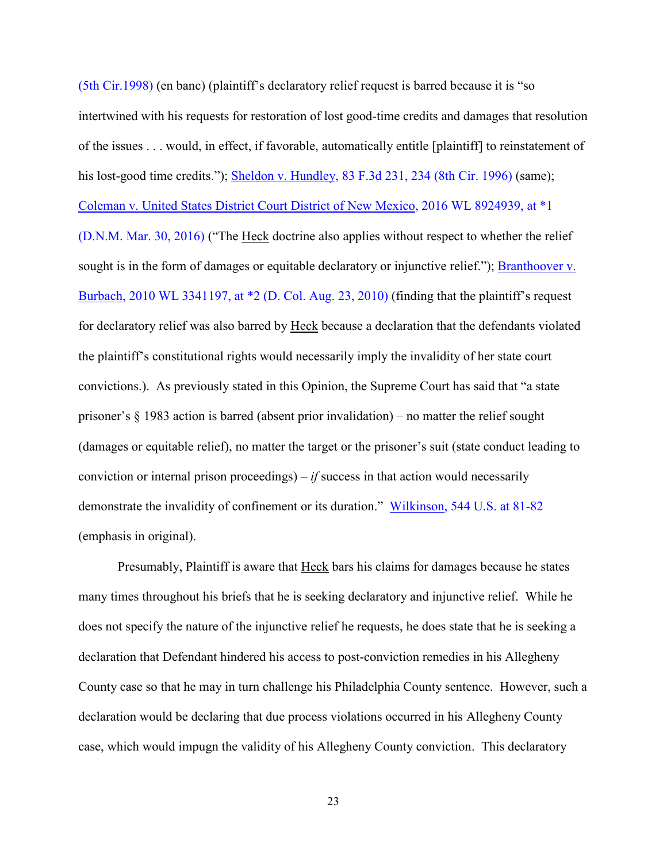[\(5th Cir.1998\)](http://www.westlaw.com/Find/default.wl?rs=kmfn4.8&vr=2.0&kmvr=2.6&FindType=Y&DB=0000506&serialnum=1998184055&kmsource=da3.0) (en banc) (plaintiff's declaratory relief request is barred because it is "so intertwined with his requests for restoration of lost good-time credits and damages that resolution of the issues . . . would, in effect, if favorable, automatically entitle [plaintiff] to reinstatement of his lost-good time credits."); [Sheldon v. Hundley, 83 F.3d 231, 234 \(8th Cir. 1996\)](http://www.westlaw.com/Find/default.wl?rs=kmfn4.8&vr=2.0&kmvr=2.6&FindType=Y&DB=0000506&serialnum=1996109107&kmsource=da3.0) (same); [Coleman v. United States District Court District of New Mexico, 2016 WL 8924939, at \\*1](http://www.westlaw.com/Find/default.wl?rs=kmfn4.8&vr=2.0&kmvr=2.6&FindType=Y&DB=0000999&serialnum=2041632404&kmsource=da3.0)  [\(D.N.M. Mar. 30, 2016\)](http://www.westlaw.com/Find/default.wl?rs=kmfn4.8&vr=2.0&kmvr=2.6&FindType=Y&DB=0000999&serialnum=2041632404&kmsource=da3.0) ("The Heck doctrine also applies without respect to whether the relief sought is in the form of damages or equitable declaratory or injunctive relief."); Branthoover v. [Burbach, 2010 WL 3341197, at \\*2 \(D. Col. Aug. 23, 2010\)](http://www.westlaw.com/Find/default.wl?rs=kmfn4.8&vr=2.0&kmvr=2.6&FindType=Y&DB=0000999&serialnum=2022845515&kmsource=da3.0) (finding that the plaintiff's request for declaratory relief was also barred by Heck because a declaration that the defendants violated the plaintiff's constitutional rights would necessarily imply the invalidity of her state court convictions.). As previously stated in this Opinion, the Supreme Court has said that "a state prisoner's § 1983 action is barred (absent prior invalidation) – no matter the relief sought

(damages or equitable relief), no matter the target or the prisoner's suit (state conduct leading to conviction or internal prison proceedings) – *if* success in that action would necessarily demonstrate the invalidity of confinement or its duration." [Wilkinson, 544 U.S. at 81-82](http://www.westlaw.com/Find/default.wl?rs=kmfn4.8&vr=2.0&kmvr=2.6&FindType=Y&DB=0000780&serialnum=2006315804&kmsource=da3.0) (emphasis in original).

Presumably, Plaintiff is aware that Heck bars his claims for damages because he states many times throughout his briefs that he is seeking declaratory and injunctive relief. While he does not specify the nature of the injunctive relief he requests, he does state that he is seeking a declaration that Defendant hindered his access to post-conviction remedies in his Allegheny County case so that he may in turn challenge his Philadelphia County sentence. However, such a declaration would be declaring that due process violations occurred in his Allegheny County case, which would impugn the validity of his Allegheny County conviction. This declaratory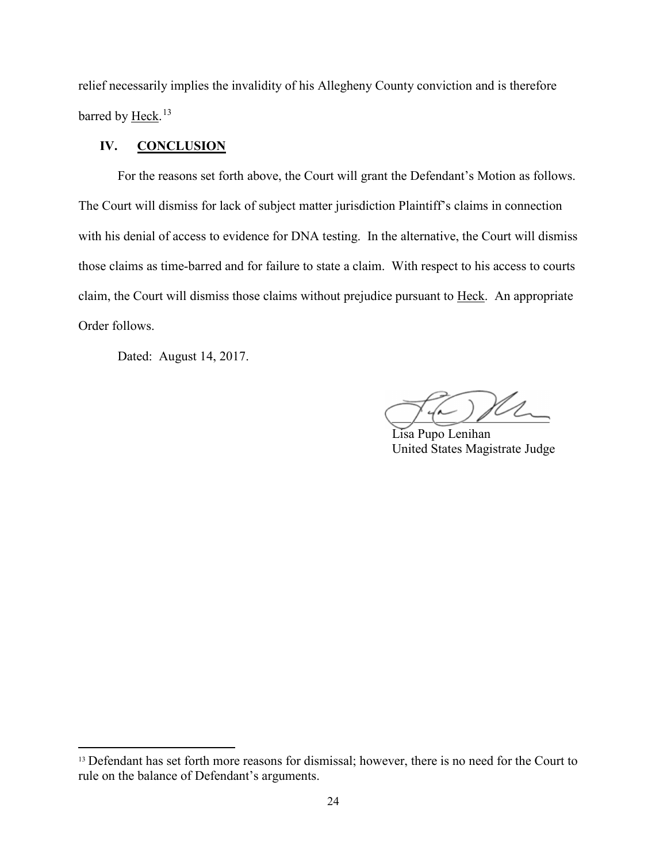relief necessarily implies the invalidity of his Allegheny County conviction and is therefore barred by <u>Heck</u>.<sup>[13](#page-23-0)</sup>

# **IV. CONCLUSION**

For the reasons set forth above, the Court will grant the Defendant's Motion as follows. The Court will dismiss for lack of subject matter jurisdiction Plaintiff's claims in connection with his denial of access to evidence for DNA testing. In the alternative, the Court will dismiss those claims as time-barred and for failure to state a claim. With respect to his access to courts claim, the Court will dismiss those claims without prejudice pursuant to Heck. An appropriate Order follows.

Dated: August 14, 2017.

 $\int d\mu$ 

Lisa Pupo Lenihan United States Magistrate Judge

<span id="page-23-0"></span><sup>&</sup>lt;sup>13</sup> Defendant has set forth more reasons for dismissal; however, there is no need for the Court to rule on the balance of Defendant's arguments.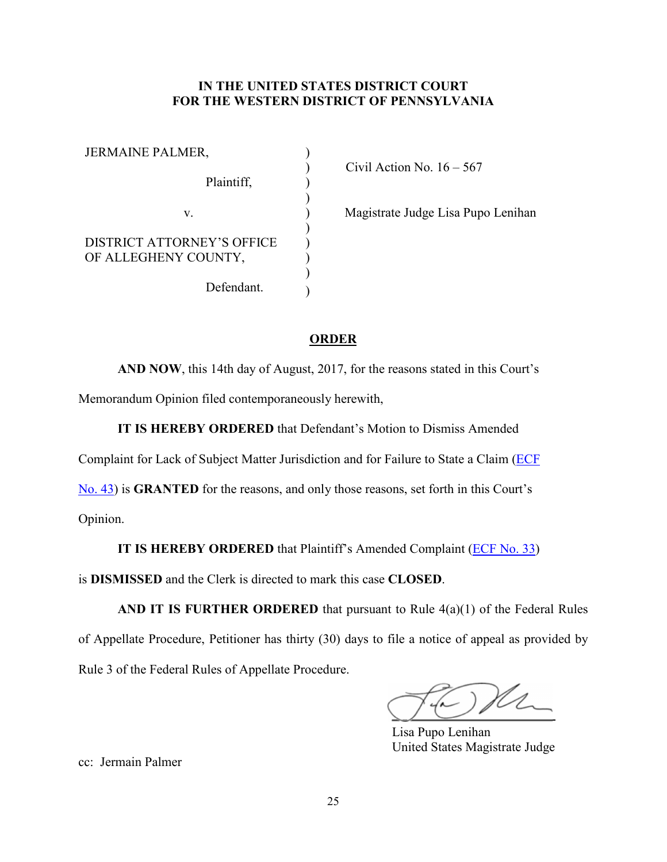# **IN THE UNITED STATES DISTRICT COURT FOR THE WESTERN DISTRICT OF PENNSYLVANIA**

| <b>JERMAINE PALMER,</b>                                   |  |
|-----------------------------------------------------------|--|
| Plaintiff,                                                |  |
| V                                                         |  |
| <b>DISTRICT ATTORNEY'S OFFICE</b><br>OF ALLEGHENY COUNTY, |  |
| Defendant.                                                |  |

Civil Action No.  $16 - 567$ 

) Magistrate Judge Lisa Pupo Lenihan

# **ORDER**

**AND NOW**, this 14th day of August, 2017, for the reasons stated in this Court's Memorandum Opinion filed contemporaneously herewith,

**IT IS HEREBY ORDERED** that Defendant's Motion to Dismiss Amended

Complaint for Lack of Subject Matter Jurisdiction and for Failure to State a Claim (*ECF* 

[No. 43\)](https://ecf.pawd.uscourts.gov/doc1/15715411840) is **GRANTED** for the reasons, and only those reasons, set forth in this Court's

Opinion.

**IT IS HEREBY ORDERED** that Plaintiff's Amended Complaint (*ECF No. 33*)

is **DISMISSED** and the Clerk is directed to mark this case **CLOSED**.

**AND IT IS FURTHER ORDERED** that pursuant to Rule 4(a)(1) of the Federal Rules of Appellate Procedure, Petitioner has thirty (30) days to file a notice of appeal as provided by Rule 3 of the Federal Rules of Appellate Procedure.

 $\bigcup$   $\bigcup$   $\overline{\phantom{a}}$ 

Lisa Pupo Lenihan United States Magistrate Judge

cc: Jermain Palmer